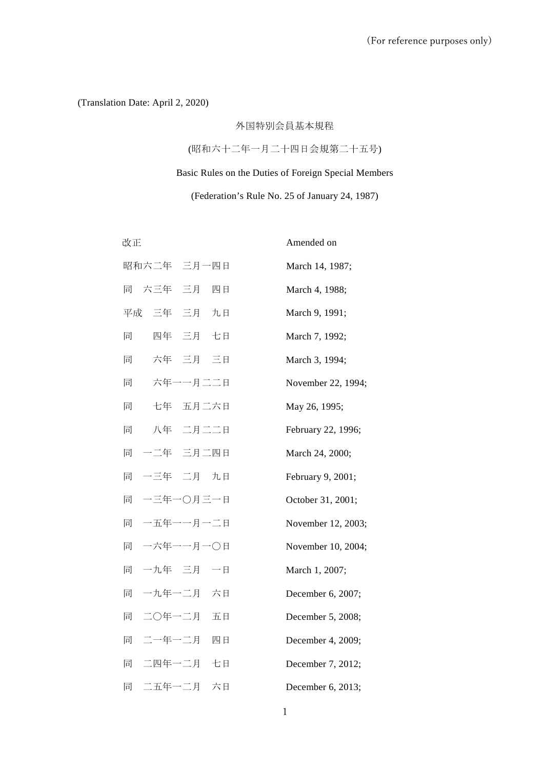(Translation Date: April 2, 2020)

# 外国特別会員基本規程

(昭和六十二年一月二十四日会規第二十五号)

Basic Rules on the Duties of Foreign Special Members

# (Federation's Rule No. 25 of January 24, 1987)

改正

Amended on

|   | 昭和六二年 三月一四日  | March 14, 1987;    |
|---|--------------|--------------------|
|   | 同 六三年 三月 四日  | March 4, 1988;     |
|   | 平成 三年 三月 九日  | March 9, 1991;     |
| 同 | 四年 三月 七日     | March 7, 1992;     |
| 同 | 六年 三月 三日     | March 3, 1994;     |
| 同 | 六年一一月二二日     | November 22, 1994; |
| 同 | 七年 五月二六日     | May 26, 1995;      |
| 同 | 八年 二月二二日     | February 22, 1996; |
|   | 同 一二年 三月二四日  | March 24, 2000;    |
| 同 | 一三年 二月 九日    | February 9, 2001;  |
| 同 | 一三年一〇月三一日    | October 31, 2001;  |
| 同 | 一五年一一月一二日    | November 12, 2003; |
| 同 | 一六年一一月一〇日    | November 10, 2004; |
| 同 | 一九年 三月 一日    | March 1, 2007;     |
| 同 | 一九年一二月 六日    | December 6, 2007;  |
| 同 | 二〇年一二月<br>五日 | December 5, 2008;  |
| 同 | 二一年一二月 四日    | December 4, 2009;  |
| 同 | 二四年一二月<br>七日 | December 7, 2012;  |
| 同 | 二五年一二月<br>六日 | December 6, 2013;  |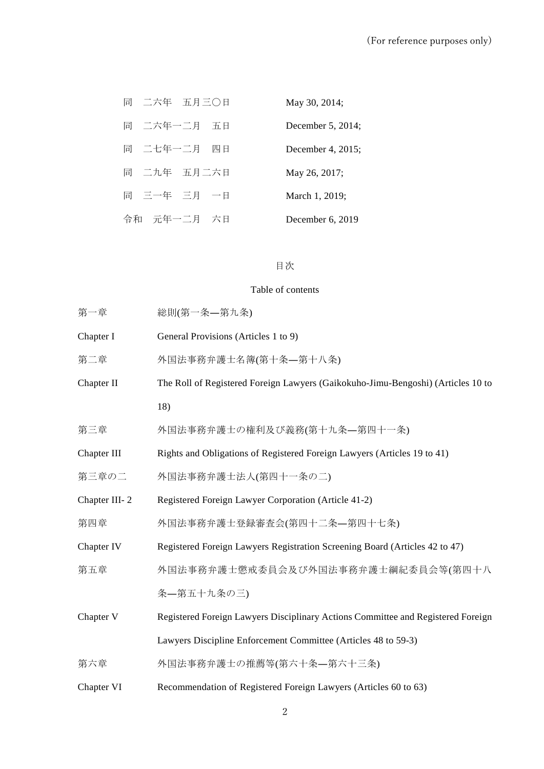| 同 二六年 五月三〇日    | May 30, 2014;      |
|----------------|--------------------|
| 同 二六年一二月 五日    | December 5, 2014;  |
| 同 二七年一二月<br>四日 | December 4, 2015;  |
| 同 二九年 五月二六日    | May 26, 2017;      |
| 同 三一年 三月 一日    | March 1, 2019;     |
| 令和 元年一二月 六日    | December $6, 2019$ |

# 目次

# Table of contents

| 第一章               | 総則(第一条—第九条)                                                                      |  |  |
|-------------------|----------------------------------------------------------------------------------|--|--|
| Chapter I         | General Provisions (Articles 1 to 9)                                             |  |  |
| 第二章               | 外国法事務弁護士名簿(第十条—第十八条)                                                             |  |  |
| Chapter II        | The Roll of Registered Foreign Lawyers (Gaikokuho-Jimu-Bengoshi) (Articles 10 to |  |  |
|                   | 18)                                                                              |  |  |
| 第三章               | 外国法事務弁護士の権利及び義務(第十九条–第四十一条)                                                      |  |  |
| Chapter III       | Rights and Obligations of Registered Foreign Lawyers (Articles 19 to 41)         |  |  |
| 第三章の二             | 外国法事務弁護士法人(第四十一条の二)                                                              |  |  |
| Chapter III-2     | Registered Foreign Lawyer Corporation (Article 41-2)                             |  |  |
| 第四章               | 外国法事務弁護士登録審査会(第四十二条—第四十七条)                                                       |  |  |
| Chapter IV        | Registered Foreign Lawyers Registration Screening Board (Articles 42 to 47)      |  |  |
| 第五章               | 外国法事務弁護士懲戒委員会及び外国法事務弁護士綱紀委員会等(第四十八                                               |  |  |
|                   | 条–第五十九条の三)                                                                       |  |  |
| Chapter V         | Registered Foreign Lawyers Disciplinary Actions Committee and Registered Foreign |  |  |
|                   | Lawyers Discipline Enforcement Committee (Articles 48 to 59-3)                   |  |  |
| 第六章               | 外国法事務弁護士の推薦等(第六十条―第六十三条)                                                         |  |  |
| <b>Chapter VI</b> | Recommendation of Registered Foreign Lawyers (Articles 60 to 63)                 |  |  |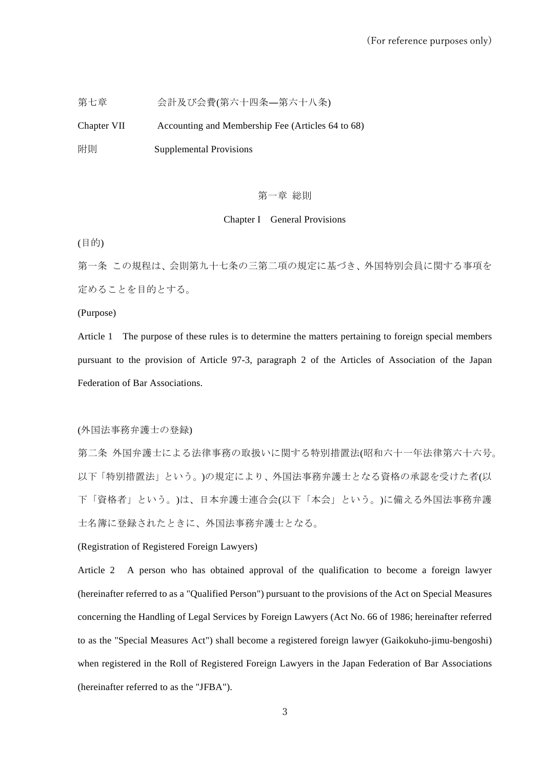第七章 アンチンの会計及び会費(第六十四条―第六十八条)

Chapter VII Accounting and Membership Fee (Articles 64 to 68) 附則 Supplemental Provisions

#### 第一章 総則

### Chapter I General Provisions

(目的)

第一条 この規程は、会則第九十七条の三第二項の規定に基づき、外国特別会員に関する事項を 定めることを目的とする。

(Purpose)

Article 1 The purpose of these rules is to determine the matters pertaining to foreign special members pursuant to the provision of Article 97-3, paragraph 2 of the Articles of Association of the Japan Federation of Bar Associations.

### (外国法事務弁護士の登録)

第二条 外国弁護士による法律事務の取扱いに関する特別措置法(昭和六十一年法律第六十六号。 以下「特別措置法」という。)の規定により、外国法事務弁護士となる資格の承認を受けた者(以 下「資格者」という。)は、日本弁護士連合会(以下「本会」という。)に備える外国法事務弁護 士名簿に登録されたときに、外国法事務弁護士となる。

# (Registration of Registered Foreign Lawyers)

Article 2 A person who has obtained approval of the qualification to become a foreign lawyer (hereinafter referred to as a "Qualified Person") pursuant to the provisions of the Act on Special Measures concerning the Handling of Legal Services by Foreign Lawyers (Act No. 66 of 1986; hereinafter referred to as the "Special Measures Act") shall become a registered foreign lawyer (Gaikokuho-jimu-bengoshi) when registered in the Roll of Registered Foreign Lawyers in the Japan Federation of Bar Associations (hereinafter referred to as the "JFBA").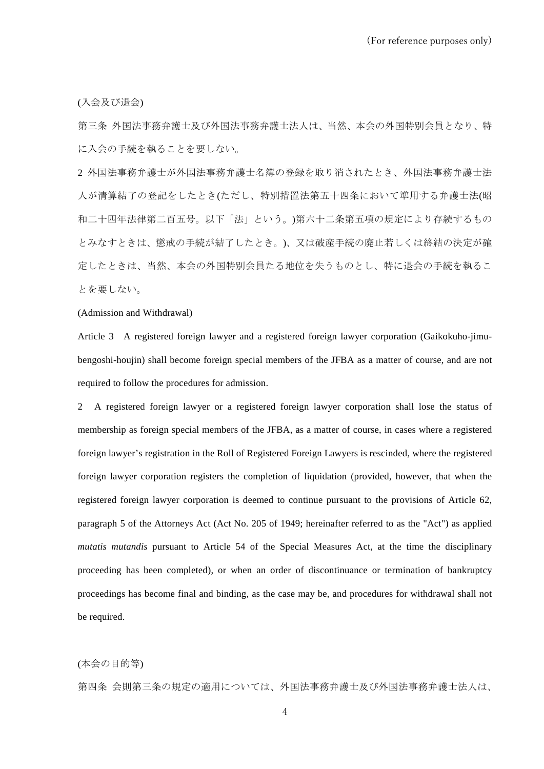(入会及び退会)

第三条 外国法事務弁護士及び外国法事務弁護士法人は、当然、本会の外国特別会員となり、特 に入会の手続を執ることを要しない。

2 外国法事務弁護士が外国法事務弁護士名簿の登録を取り消されたとき、外国法事務弁護士法 人が清算結了の登記をしたとき(ただし、特別措置法第五十四条において準用する弁護士法(昭 和二十四年法律第二百五号。以下「法」という。)第六十二条第五項の規定により存続するもの とみなすときは、懲戒の手続が結了したとき。)、又は破産手続の廃止若しくは終結の決定が確 定したときは、当然、本会の外国特別会員たる地位を失うものとし、特に退会の手続を執るこ とを要しない。

#### (Admission and Withdrawal)

Article 3 A registered foreign lawyer and a registered foreign lawyer corporation (Gaikokuho-jimubengoshi-houjin) shall become foreign special members of the JFBA as a matter of course, and are not required to follow the procedures for admission.

2 A registered foreign lawyer or a registered foreign lawyer corporation shall lose the status of membership as foreign special members of the JFBA, as a matter of course, in cases where a registered foreign lawyer's registration in the Roll of Registered Foreign Lawyers is rescinded, where the registered foreign lawyer corporation registers the completion of liquidation (provided, however, that when the registered foreign lawyer corporation is deemed to continue pursuant to the provisions of Article 62, paragraph 5 of the Attorneys Act (Act No. 205 of 1949; hereinafter referred to as the "Act") as applied *mutatis mutandis* pursuant to Article 54 of the Special Measures Act, at the time the disciplinary proceeding has been completed), or when an order of discontinuance or termination of bankruptcy proceedings has become final and binding, as the case may be, and procedures for withdrawal shall not be required.

(本会の目的等)

第四条 会則第三条の規定の適用については、外国法事務弁護士及び外国法事務弁護士法人は、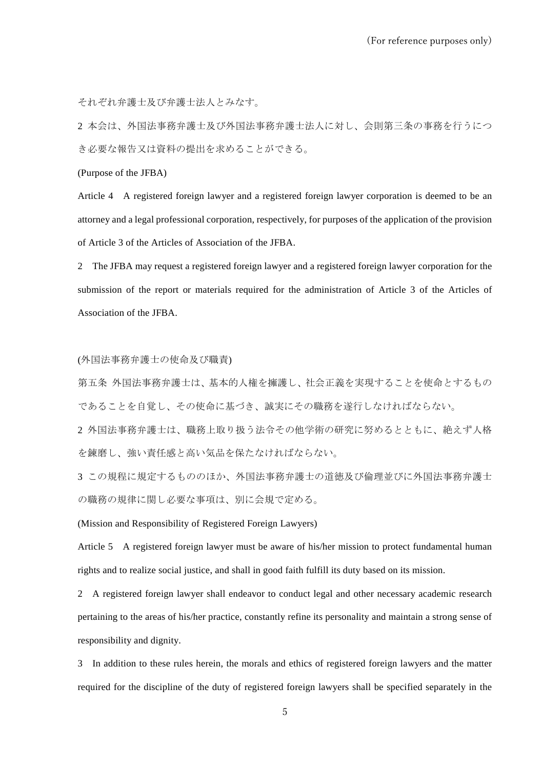それぞれ弁護士及び弁護士法人とみなす。

2 本会は、外国法事務弁護士及び外国法事務弁護士法人に対し、会則第三条の事務を行うにつ き必要な報告又は資料の提出を求めることができる。

(Purpose of the JFBA)

Article 4 A registered foreign lawyer and a registered foreign lawyer corporation is deemed to be an attorney and a legal professional corporation, respectively, for purposes of the application of the provision of Article 3 of the Articles of Association of the JFBA.

2 The JFBA may request a registered foreign lawyer and a registered foreign lawyer corporation for the submission of the report or materials required for the administration of Article 3 of the Articles of Association of the JFBA.

### (外国法事務弁護士の使命及び職責)

第五条 外国法事務弁護士は、基本的人権を擁護し、社会正義を実現することを使命とするもの であることを自覚し、その使命に基づき、誠実にその職務を遂行しなければならない。

2 外国法事務弁護士は、職務上取り扱う法令その他学術の研究に努めるとともに、絶えず人格 を錬磨し、強い責任感と高い気品を保たなければならない。

3 この規程に規定するもののほか、外国法事務弁護士の道徳及び倫理並びに外国法事務弁護士 の職務の規律に関し必要な事項は、別に会規で定める。

#### (Mission and Responsibility of Registered Foreign Lawyers)

Article 5 A registered foreign lawyer must be aware of his/her mission to protect fundamental human rights and to realize social justice, and shall in good faith fulfill its duty based on its mission.

2 A registered foreign lawyer shall endeavor to conduct legal and other necessary academic research pertaining to the areas of his/her practice, constantly refine its personality and maintain a strong sense of responsibility and dignity.

3 In addition to these rules herein, the morals and ethics of registered foreign lawyers and the matter required for the discipline of the duty of registered foreign lawyers shall be specified separately in the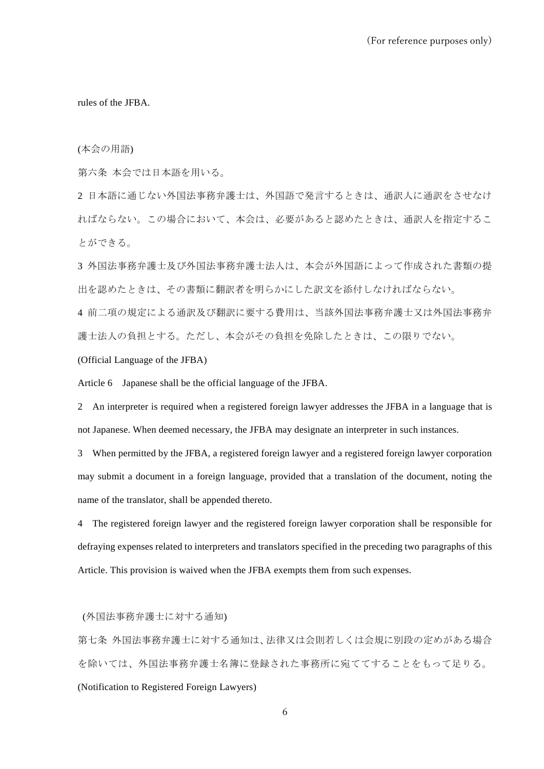rules of the JFBA.

(本会の用語)

第六条 本会では日本語を用いる。

2 日本語に通じない外国法事務弁護士は、外国語で発言するときは、通訳人に通訳をさせなけ ればならない。この場合において、本会は、必要があると認めたときは、通訳人を指定するこ とができる。

3 外国法事務弁護士及び外国法事務弁護士法人は、本会が外国語によって作成された書類の提 出を認めたときは、その書類に翻訳者を明らかにした訳文を添付しなければならない。

4 前二項の規定による通訳及び翻訳に要する費用は、当該外国法事務弁護士又は外国法事務弁 護士法人の負担とする。ただし、本会がその負担を免除したときは、この限りでない。

(Official Language of the JFBA)

Article 6 Japanese shall be the official language of the JFBA.

2 An interpreter is required when a registered foreign lawyer addresses the JFBA in a language that is not Japanese. When deemed necessary, the JFBA may designate an interpreter in such instances.

3 When permitted by the JFBA, a registered foreign lawyer and a registered foreign lawyer corporation may submit a document in a foreign language, provided that a translation of the document, noting the name of the translator, shall be appended thereto.

4 The registered foreign lawyer and the registered foreign lawyer corporation shall be responsible for defraying expenses related to interpreters and translators specified in the preceding two paragraphs of this Article. This provision is waived when the JFBA exempts them from such expenses.

(外国法事務弁護士に対する通知)

第七条 外国法事務弁護士に対する通知は、法律又は会則若しくは会規に別段の定めがある場合 を除いては、外国法事務弁護士名簿に登録された事務所に宛ててすることをもって足りる。 (Notification to Registered Foreign Lawyers)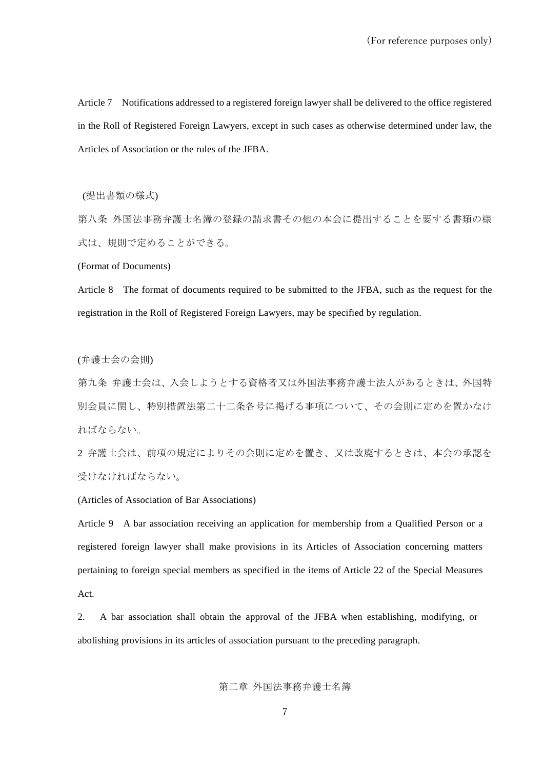Article 7 Notifications addressed to a registered foreign lawyer shall be delivered to the office registered in the Roll of Registered Foreign Lawyers, except in such cases as otherwise determined under law, the Articles of Association or the rules of the JFBA.

(提出書類の様式)

第八条 外国法事務弁護士名簿の登録の請求書その他の本会に提出することを要する書類の様 式は、規則で定めることができる。

(Format of Documents)

Article 8 The format of documents required to be submitted to the JFBA, such as the request for the registration in the Roll of Registered Foreign Lawyers, may be specified by regulation.

(弁護士会の会則)

第九条 弁護士会は、入会しようとする資格者又は外国法事務弁護士法人があるときは、外国特 別会員に関し、特別措置法第二十二条各号に掲げる事項について、その会則に定めを置かなけ ればならない。

2 弁護士会は、前項の規定によりその会則に定めを置き、又は改廃するときは、本会の承認を 受けなければならない。

(Articles of Association of Bar Associations)

Article 9 A bar association receiving an application for membership from a Qualified Person or a registered foreign lawyer shall make provisions in its Articles of Association concerning matters pertaining to foreign special members as specified in the items of Article 22 of the Special Measures Act.

2. A bar association shall obtain the approval of the JFBA when establishing, modifying, or abolishing provisions in its articles of association pursuant to the preceding paragraph.

第二章 外国法事務弁護士名簿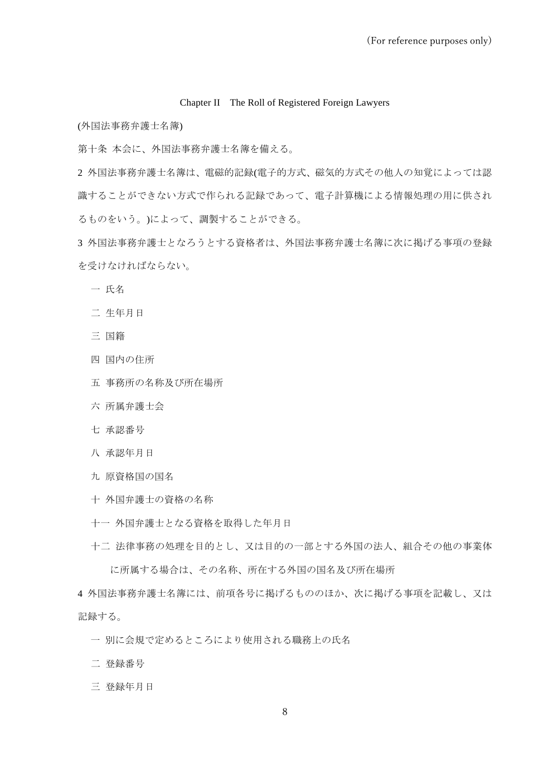#### Chapter II The Roll of Registered Foreign Lawyers

(外国法事務弁護士名簿)

第十条 本会に、外国法事務弁護士名簿を備える。

外国法事務弁護士名簿は、電磁的記録(電子的方式、磁気的方式その他人の知覚によっては認 識することができない方式で作られる記録であって、電子計算機による情報処理の用に供され るものをいう。)によって、調製することができる。

外国法事務弁護士となろうとする資格者は、外国法事務弁護士名簿に次に掲げる事項の登録 を受けなければならない。

- 氏名
- 生年月日
- 国籍
- 国内の住所
- 事務所の名称及び所在場所
- 所属弁護士会
- 承認番号
- 承認年月日
- 原資格国の国名
- 外国弁護士の資格の名称
- 外国弁護士となる資格を取得した年月日
- 法律事務の処理を目的とし、又は目的の一部とする外国の法人、組合その他の事業体 に所属する場合は、その名称、所在する外国の国名及び所在場所

外国法事務弁護士名簿には、前項各号に掲げるもののほか、次に掲げる事項を記載し、又は 記録する。

- 別に会規で定めるところにより使用される職務上の氏名
- 登録番号
- 登録年月日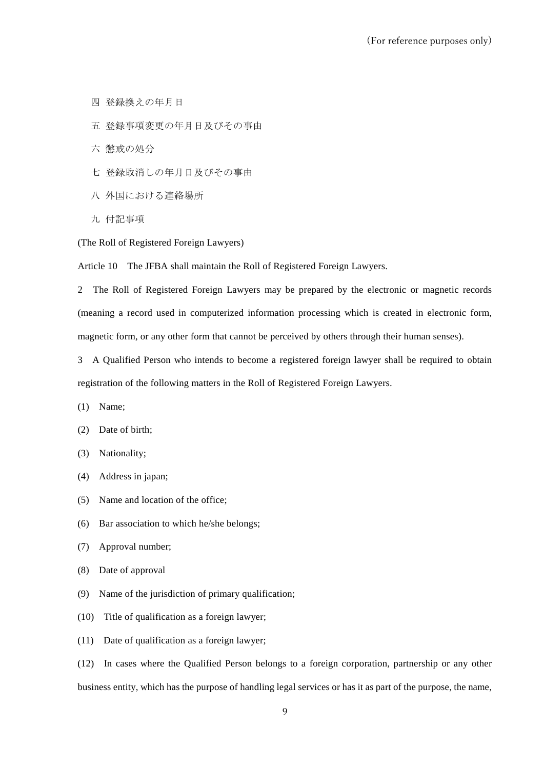- 四 登録換えの年月日
- 五 登録事項変更の年月日及びその事由
- 六 懲戒の処分
- 七 登録取消しの年月日及びその事由
- 八 外国における連絡場所
- 九 付記事項

(The Roll of Registered Foreign Lawyers)

Article 10 The JFBA shall maintain the Roll of Registered Foreign Lawyers.

2 The Roll of Registered Foreign Lawyers may be prepared by the electronic or magnetic records (meaning a record used in computerized information processing which is created in electronic form, magnetic form, or any other form that cannot be perceived by others through their human senses).

3 A Qualified Person who intends to become a registered foreign lawyer shall be required to obtain registration of the following matters in the Roll of Registered Foreign Lawyers.

- (1) Name;
- (2) Date of birth;
- (3) Nationality;
- (4) Address in japan;
- (5) Name and location of the office;
- (6) Bar association to which he/she belongs;
- (7) Approval number;
- (8) Date of approval
- (9) Name of the jurisdiction of primary qualification;
- (10) Title of qualification as a foreign lawyer;
- (11) Date of qualification as a foreign lawyer;

(12) In cases where the Qualified Person belongs to a foreign corporation, partnership or any other business entity, which has the purpose of handling legal services or has it as part of the purpose, the name,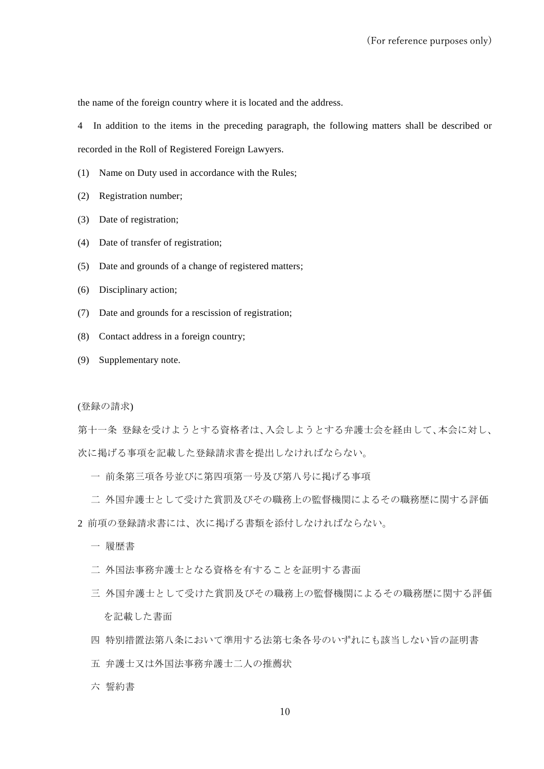the name of the foreign country where it is located and the address.

4 In addition to the items in the preceding paragraph, the following matters shall be described or recorded in the Roll of Registered Foreign Lawyers.

(1) Name on Duty used in accordance with the Rules;

- (2) Registration number;
- (3) Date of registration;
- (4) Date of transfer of registration;
- (5) Date and grounds of a change of registered matters;
- (6) Disciplinary action;
- (7) Date and grounds for a rescission of registration;
- (8) Contact address in a foreign country;
- (9) Supplementary note.

(登録の請求)

第十一条 登録を受けようとする資格者は、入会しようとする弁護士会を経由して、本会に対し、 次に掲げる事項を記載した登録請求書を提出しなければならない。

- 一 前条第三項各号並びに第四項第一号及び第八号に掲げる事項
- 二 外国弁護士として受けた賞罰及びその職務上の監督機関によるその職務歴に関する評価
- 2 前項の登録請求書には、次に掲げる書類を添付しなければならない。
	- 一 履歴書
	- 二 外国法事務弁護士となる資格を有することを証明する書面
	- 三 外国弁護士として受けた賞罰及びその職務上の監督機関によるその職務歴に関する評価 を記載した書面
	- 四 特別措置法第八条において準用する法第七条各号のいずれにも該当しない旨の証明書
	- 五 弁護士又は外国法事務弁護士二人の推薦状
	- 六 誓約書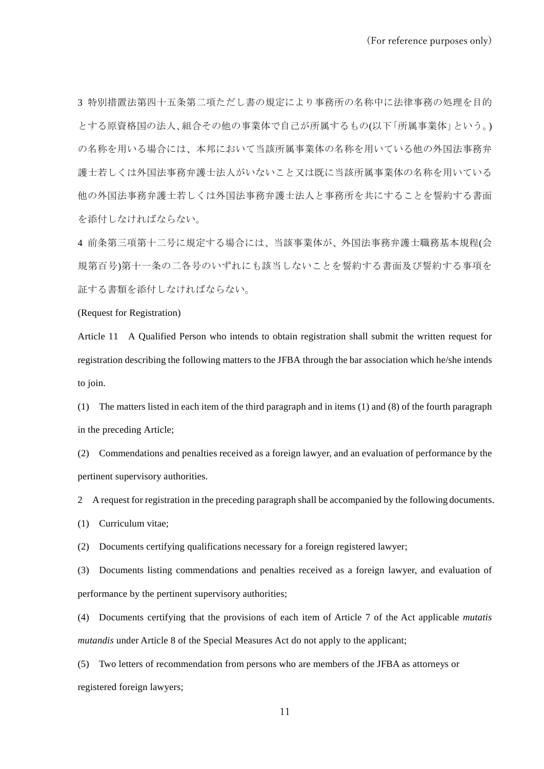3 特別措置法第四十五条第二項ただし書の規定により事務所の名称中に法律事務の処理を目的 とする原資格国の法人、組合その他の事業体で自己が所属するもの(以下「所属事業体」という。) の名称を用いる場合には、本邦において当該所属事業体の名称を用いている他の外国法事務弁 護士若しくは外国法事務弁護士法人がいないこと又は既に当該所属事業体の名称を用いている 他の外国法事務弁護士若しくは外国法事務弁護士法人と事務所を共にすることを誓約する書面 を添付しなければならない。

4 前条第三項第十二号に規定する場合には、当該事業体が、外国法事務弁護士職務基本規程(会 規第百号)第十一条の二各号のいずれにも該当しないことを誓約する書面及び誓約する事項を 証する書類を添付しなければならない。

#### (Request for Registration)

Article 11 A Qualified Person who intends to obtain registration shall submit the written request for registration describing the following matters to the JFBA through the bar association which he/she intends to join.

(1) The matters listed in each item of the third paragraph and in items (1) and (8) of the fourth paragraph in the preceding Article;

(2) Commendations and penalties received as a foreign lawyer, and an evaluation of performance by the pertinent supervisory authorities.

2 A request for registration in the preceding paragraph shall be accompanied by the following documents.

(1) Curriculum vitae;

(2) Documents certifying qualifications necessary for a foreign registered lawyer;

(3) Documents listing commendations and penalties received as a foreign lawyer, and evaluation of performance by the pertinent supervisory authorities;

(4) Documents certifying that the provisions of each item of Article 7 of the Act applicable *mutatis mutandis* under Article 8 of the Special Measures Act do not apply to the applicant;

(5) Two letters of recommendation from persons who are members of the JFBA as attorneys or registered foreign lawyers;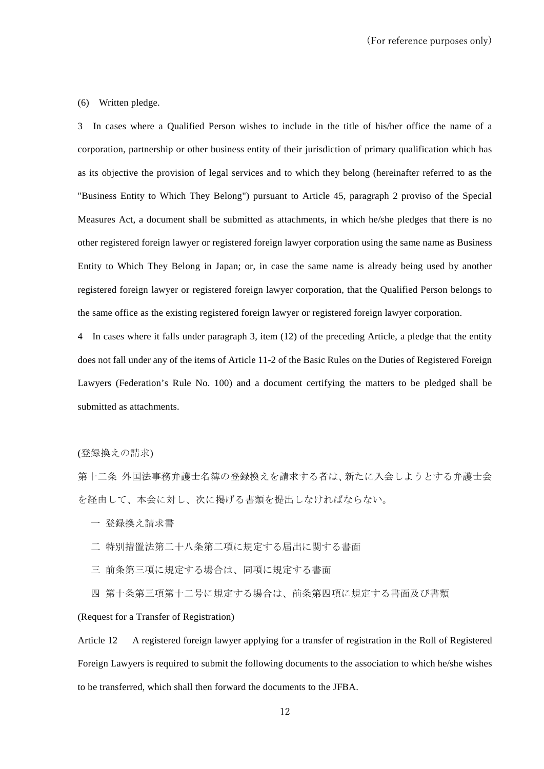#### (6) Written pledge.

3 In cases where a Qualified Person wishes to include in the title of his/her office the name of a corporation, partnership or other business entity of their jurisdiction of primary qualification which has as its objective the provision of legal services and to which they belong (hereinafter referred to as the "Business Entity to Which They Belong") pursuant to Article 45, paragraph 2 proviso of the Special Measures Act, a document shall be submitted as attachments, in which he/she pledges that there is no other registered foreign lawyer or registered foreign lawyer corporation using the same name as Business Entity to Which They Belong in Japan; or, in case the same name is already being used by another registered foreign lawyer or registered foreign lawyer corporation, that the Qualified Person belongs to the same office as the existing registered foreign lawyer or registered foreign lawyer corporation.

4 In cases where it falls under paragraph 3, item (12) of the preceding Article, a pledge that the entity does not fall under any of the items of Article 11-2 of the Basic Rules on the Duties of Registered Foreign Lawyers (Federation's Rule No. 100) and a document certifying the matters to be pledged shall be submitted as attachments.

(登録換えの請求)

第十二条 外国法事務弁護士名簿の登録換えを請求する者は、新たに入会しようとする弁護士会 を経由して、本会に対し、次に掲げる書類を提出しなければならない。

- 一 登録換え請求書
- 二 特別措置法第二十八条第二項に規定する届出に関する書面
- 三 前条第三項に規定する場合は、同項に規定する書面
- 四 第十条第三項第十二号に規定する場合は、前条第四項に規定する書面及び書類

(Request for a Transfer of Registration)

Article 12 A registered foreign lawyer applying for a transfer of registration in the Roll of Registered Foreign Lawyers is required to submit the following documents to the association to which he/she wishes to be transferred, which shall then forward the documents to the JFBA.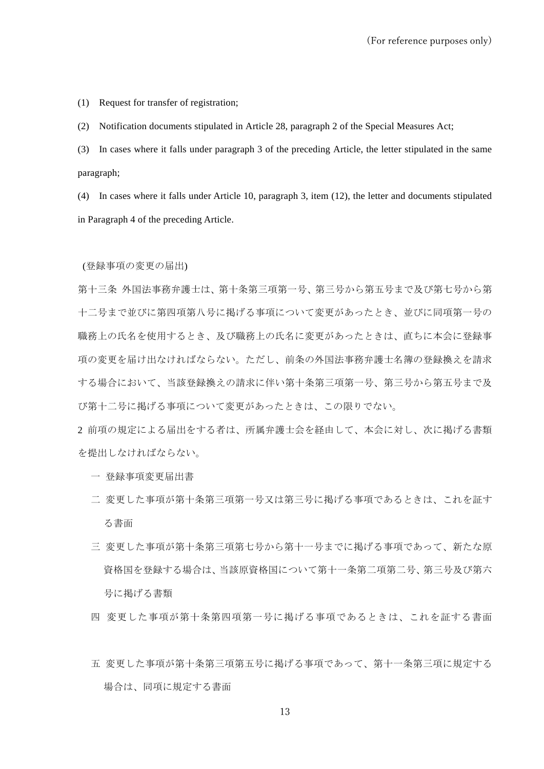(1) Request for transfer of registration;

(2) Notification documents stipulated in Article 28, paragraph 2 of the Special Measures Act;

(3) In cases where it falls under paragraph 3 of the preceding Article, the letter stipulated in the same paragraph;

(4) In cases where it falls under Article 10, paragraph 3, item (12), the letter and documents stipulated in Paragraph 4 of the preceding Article.

#### (登録事項の変更の届出)

第十三条 外国法事務弁護士は、第十条第三項第一号、第三号から第五号まで及び第七号から第 十二号まで並びに第四項第八号に掲げる事項について変更があったとき、並びに同項第一号の 職務上の氏名を使用するとき、及び職務上の氏名に変更があったときは、直ちに本会に登録事 項の変更を届け出なければならない。ただし、前条の外国法事務弁護士名簿の登録換えを請求 する場合において、当該登録換えの請求に伴い第十条第三項第一号、第三号から第五号まで及 び第十二号に掲げる事項について変更があったときは、この限りでない。

2 前項の規定による届出をする者は、所属弁護士会を経由して、本会に対し、次に掲げる書類 を提出しなければならない。

- 一 登録事項変更届出書
- 二 変更した事項が第十条第三項第一号又は第三号に掲げる事項であるときは、これを証す る書面
- 三 変更した事項が第十条第三項第七号から第十一号までに掲げる事項であって、新たな原 資格国を登録する場合は、当該原資格国について第十一条第二項第二号、第三号及び第六 号に掲げる書類
- 四 変更した事項が第十条第四項第一号に掲げる事項であるときは、これを証する書面
- 五 変更した事項が第十条第三項第五号に掲げる事項であって、第十一条第三項に規定する 場合は、同項に規定する書面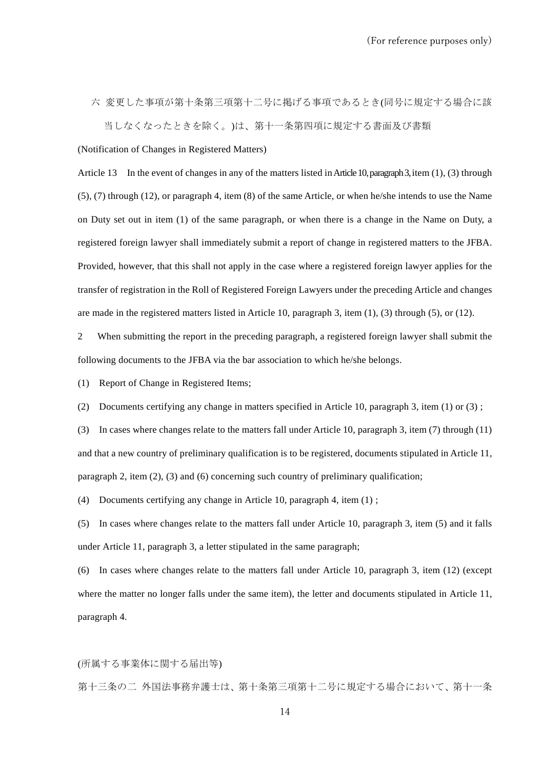六 変更した事項が第十条第三項第十二号に掲げる事項であるとき(同号に規定する場合に該 当しなくなったときを除く。)は、第十一条第四項に規定する書面及び書類

(Notification of Changes in Registered Matters)

Article 13 In the event of changes in any of the matters listed in Article 10, paragraph 3, item (1), (3) through (5), (7) through (12), or paragraph 4, item (8) of the same Article, or when he/she intends to use the Name on Duty set out in item (1) of the same paragraph, or when there is a change in the Name on Duty, a registered foreign lawyer shall immediately submit a report of change in registered matters to the JFBA. Provided, however, that this shall not apply in the case where a registered foreign lawyer applies for the transfer of registration in the Roll of Registered Foreign Lawyers under the preceding Article and changes are made in the registered matters listed in Article 10, paragraph 3, item (1), (3) through (5), or (12).

2 When submitting the report in the preceding paragraph, a registered foreign lawyer shall submit the following documents to the JFBA via the bar association to which he/she belongs.

(1) Report of Change in Registered Items;

(2) Documents certifying any change in matters specified in Article 10, paragraph 3, item (1) or (3) ;

(3) In cases where changes relate to the matters fall under Article 10, paragraph 3, item (7) through (11) and that a new country of preliminary qualification is to be registered, documents stipulated in Article 11, paragraph 2, item (2), (3) and (6) concerning such country of preliminary qualification;

(4) Documents certifying any change in Article 10, paragraph 4, item (1) ;

(5) In cases where changes relate to the matters fall under Article 10, paragraph 3, item (5) and it falls under Article 11, paragraph 3, a letter stipulated in the same paragraph;

(6) In cases where changes relate to the matters fall under Article 10, paragraph 3, item (12) (except where the matter no longer falls under the same item), the letter and documents stipulated in Article 11, paragraph 4.

(所属する事業体に関する届出等)

第十三条の二 外国法事務弁護士は、第十条第三項第十二号に規定する場合において、第十一条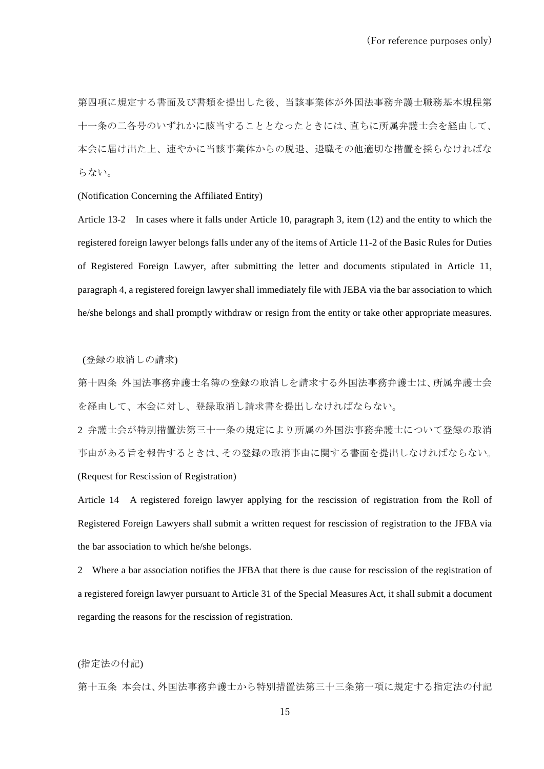第四項に規定する書面及び書類を提出した後、当該事業体が外国法事務弁護士職務基本規程第 十一条の二各号のいずれかに該当することとなったときには、直ちに所属弁護士会を経由して、 本会に届け出た上、速やかに当該事業体からの脱退、退職その他適切な措置を採らなければな らない。

(Notification Concerning the Affiliated Entity)

Article 13-2 In cases where it falls under Article 10, paragraph 3, item (12) and the entity to which the registered foreign lawyer belongs falls under any of the items of Article 11-2 of the Basic Rules for Duties of Registered Foreign Lawyer, after submitting the letter and documents stipulated in Article 11, paragraph 4, a registered foreign lawyer shall immediately file with JEBA via the bar association to which he/she belongs and shall promptly withdraw or resign from the entity or take other appropriate measures.

(登録の取消しの請求)

第十四条 外国法事務弁護士名簿の登録の取消しを請求する外国法事務弁護士は、所属弁護士会 を経由して、本会に対し、登録取消し請求書を提出しなければならない。

2 弁護士会が特別措置法第三十一条の規定により所属の外国法事務弁護士について登録の取消 事由がある旨を報告するときは、その登録の取消事由に関する書面を提出しなければならない。 (Request for Rescission of Registration)

Article 14 A registered foreign lawyer applying for the rescission of registration from the Roll of Registered Foreign Lawyers shall submit a written request for rescission of registration to the JFBA via the bar association to which he/she belongs.

2 Where a bar association notifies the JFBA that there is due cause for rescission of the registration of a registered foreign lawyer pursuant to Article 31 of the Special Measures Act, it shall submit a document regarding the reasons for the rescission of registration.

# (指定法の付記)

第十五条 本会は、外国法事務弁護士から特別措置法第三十三条第一項に規定する指定法の付記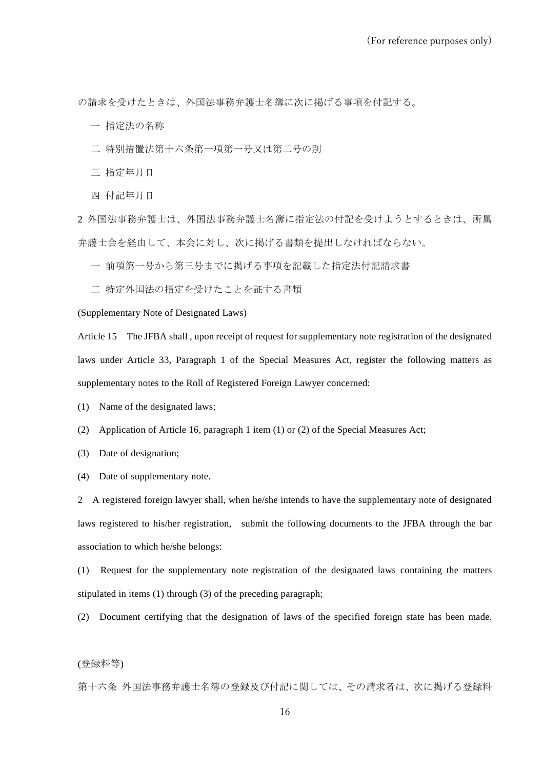の請求を受けたときは、外国法事務弁護士名簿に次に掲げる事項を付記する。

- 一 指定法の名称
- 二 特別措置法第十六条第一項第一号又は第二号の別
- 三 指定年月日
- 四 付記年月日

2 外国法事務弁護士は、外国法事務弁護士名簿に指定法の付記を受けようとするときは、所属 弁護士会を経由して、本会に対し、次に掲げる書類を提出しなければならない。

一 前項第一号から第三号までに掲げる事項を記載した指定法付記請求書

二 特定外国法の指定を受けたことを証する書類

(Supplementary Note of Designated Laws)

Article 15 The JFBA shall , upon receipt of request for supplementary note registration of the designated laws under Article 33, Paragraph 1 of the Special Measures Act, register the following matters as supplementary notes to the Roll of Registered Foreign Lawyer concerned:

- (1) Name of the designated laws;
- (2) Application of Article 16, paragraph 1 item (1) or (2) of the Special Measures Act;
- (3) Date of designation;
- (4) Date of supplementary note.

2 A registered foreign lawyer shall, when he/she intends to have the supplementary note of designated laws registered to his/her registration, submit the following documents to the JFBA through the bar association to which he/she belongs:

(1) Request for the supplementary note registration of the designated laws containing the matters stipulated in items (1) through (3) of the preceding paragraph;

(2) Document certifying that the designation of laws of the specified foreign state has been made.

### (登録料等)

第十六条 外国法事務弁護士名簿の登録及び付記に関しては、その請求者は、次に掲げる登録料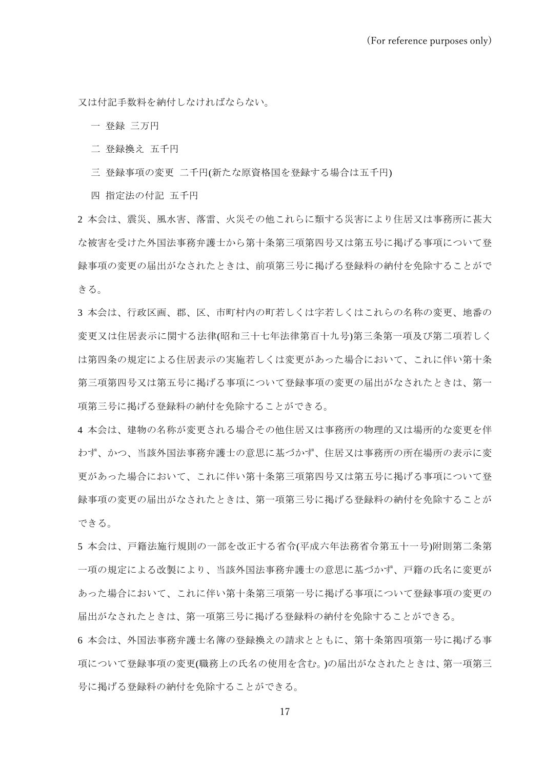又は付記手数料を納付しなければならない。

一 登録 三万円

- 二 登録換え 五千円
- 三 登録事項の変更 二千円(新たな原資格国を登録する場合は五千円)

四 指定法の付記 五千円

2 本会は、震災、風水害、落雷、火災その他これらに類する災害により住居又は事務所に甚大 な被害を受けた外国法事務弁護士から第十条第三項第四号又は第五号に掲げる事項について登 録事項の変更の届出がなされたときは、前項第三号に掲げる登録料の納付を免除することがで きる。

3 本会は、行政区画、郡、区、市町村内の町若しくは字若しくはこれらの名称の変更、地番の 変更又は住居表示に関する法律(昭和三十七年法律第百十九号)第三条第一項及び第二項若しく は第四条の規定による住居表示の実施若しくは変更があった場合において、これに伴い第十条 第三項第四号又は第五号に掲げる事項について登録事項の変更の届出がなされたときは、第一 項第三号に掲げる登録料の納付を免除することができる。

4 本会は、建物の名称が変更される場合その他住居又は事務所の物理的又は場所的な変更を伴 わず、かつ、当該外国法事務弁護士の意思に基づかず、住居又は事務所の所在場所の表示に変 更があった場合において、これに伴い第十条第三項第四号又は第五号に掲げる事項について登 録事項の変更の届出がなされたときは、第一項第三号に掲げる登録料の納付を免除することが できる。

5 本会は、戸籍法施行規則の一部を改正する省令(平成六年法務省令第五十一号)附則第二条第 一項の規定による改製により、当該外国法事務弁護士の意思に基づかず、戸籍の氏名に変更が あった場合において、これに伴い第十条第三項第一号に掲げる事項について登録事項の変更の 届出がなされたときは、第一項第三号に掲げる登録料の納付を免除することができる。

6 本会は、外国法事務弁護士名簿の登録換えの請求とともに、第十条第四項第一号に掲げる事 項について登録事項の変更(職務上の氏名の使用を含む。)の届出がなされたときは、第一項第三 号に掲げる登録料の納付を免除することができる。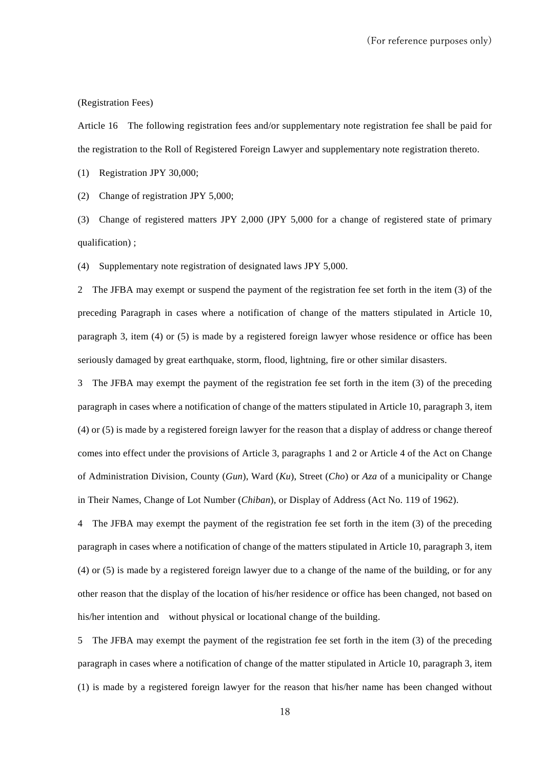#### (Registration Fees)

Article 16 The following registration fees and/or supplementary note registration fee shall be paid for the registration to the Roll of Registered Foreign Lawyer and supplementary note registration thereto.

(1) Registration JPY 30,000;

(2) Change of registration JPY 5,000;

(3) Change of registered matters JPY 2,000 (JPY 5,000 for a change of registered state of primary qualification) ;

(4) Supplementary note registration of designated laws JPY 5,000.

2 The JFBA may exempt or suspend the payment of the registration fee set forth in the item (3) of the preceding Paragraph in cases where a notification of change of the matters stipulated in Article 10, paragraph 3, item (4) or (5) is made by a registered foreign lawyer whose residence or office has been seriously damaged by great earthquake, storm, flood, lightning, fire or other similar disasters.

3 The JFBA may exempt the payment of the registration fee set forth in the item (3) of the preceding paragraph in cases where a notification of change of the matters stipulated in Article 10, paragraph 3, item (4) or (5) is made by a registered foreign lawyer for the reason that a display of address or change thereof comes into effect under the provisions of Article 3, paragraphs 1 and 2 or Article 4 of the Act on Change of Administration Division, County (*Gun*), Ward (*Ku*), Street (*Cho*) or *Aza* of a municipality or Change in Their Names, Change of Lot Number (*Chiban*), or Display of Address (Act No. 119 of 1962).

4 The JFBA may exempt the payment of the registration fee set forth in the item (3) of the preceding paragraph in cases where a notification of change of the matters stipulated in Article 10, paragraph 3, item (4) or (5) is made by a registered foreign lawyer due to a change of the name of the building, or for any other reason that the display of the location of his/her residence or office has been changed, not based on his/her intention and without physical or locational change of the building.

5 The JFBA may exempt the payment of the registration fee set forth in the item (3) of the preceding paragraph in cases where a notification of change of the matter stipulated in Article 10, paragraph 3, item (1) is made by a registered foreign lawyer for the reason that his/her name has been changed without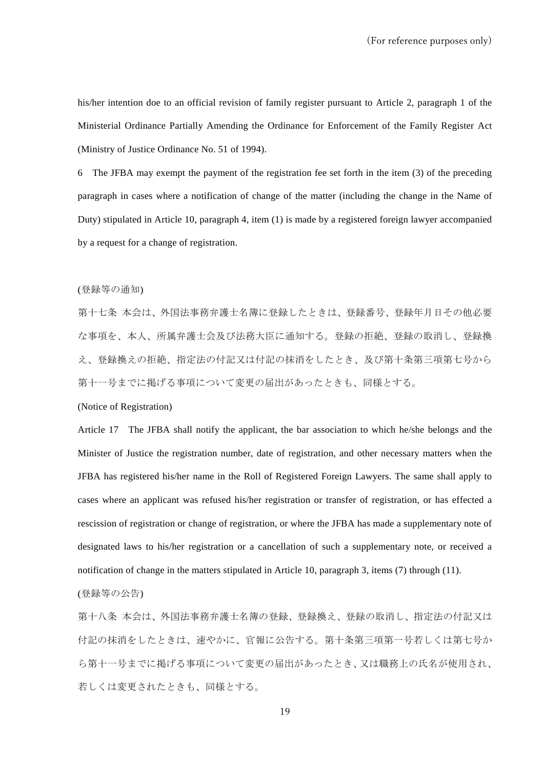his/her intention doe to an official revision of family register pursuant to Article 2, paragraph 1 of the Ministerial Ordinance Partially Amending the Ordinance for Enforcement of the Family Register Act (Ministry of Justice Ordinance No. 51 of 1994).

6 The JFBA may exempt the payment of the registration fee set forth in the item (3) of the preceding paragraph in cases where a notification of change of the matter (including the change in the Name of Duty) stipulated in Article 10, paragraph 4, item (1) is made by a registered foreign lawyer accompanied by a request for a change of registration.

#### (登録等の通知)

第十七条 本会は、外国法事務弁護士名簿に登録したときは、登録番号、登録年月日その他必要 な事項を、本人、所属弁護士会及び法務大臣に通知する。登録の拒絶、登録の取消し、登録換 え、登録換えの拒絶、指定法の付記又は付記の抹消をしたとき、及び第十条第三項第七号から 第十一号までに掲げる事項について変更の届出があったときも、同様とする。

#### (Notice of Registration)

Article 17 The JFBA shall notify the applicant, the bar association to which he/she belongs and the Minister of Justice the registration number, date of registration, and other necessary matters when the JFBA has registered his/her name in the Roll of Registered Foreign Lawyers. The same shall apply to cases where an applicant was refused his/her registration or transfer of registration, or has effected a rescission of registration or change of registration, or where the JFBA has made a supplementary note of designated laws to his/her registration or a cancellation of such a supplementary note, or received a notification of change in the matters stipulated in Article 10, paragraph 3, items (7) through (11).

### (登録等の公告)

第十八条 本会は、外国法事務弁護士名簿の登録、登録換え、登録の取消し、指定法の付記又は 付記の抹消をしたときは、速やかに、官報に公告する。第十条第三項第一号若しくは第七号か ら第十一号までに掲げる事項について変更の届出があったとき、又は職務上の氏名が使用され、 若しくは変更されたときも、同様とする。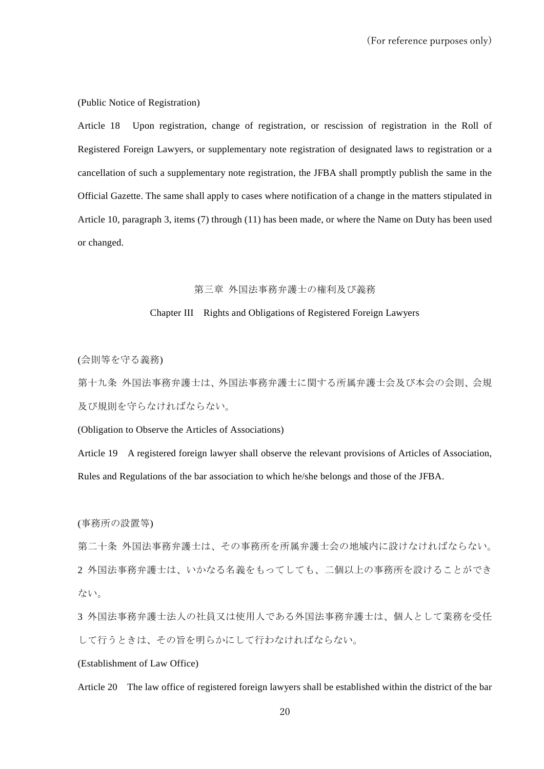(Public Notice of Registration)

Article 18 Upon registration, change of registration, or rescission of registration in the Roll of Registered Foreign Lawyers, or supplementary note registration of designated laws to registration or a cancellation of such a supplementary note registration, the JFBA shall promptly publish the same in the Official Gazette. The same shall apply to cases where notification of a change in the matters stipulated in Article 10, paragraph 3, items (7) through (11) has been made, or where the Name on Duty has been used or changed.

### 第三章 外国法事務弁護士の権利及び義務

### Chapter III Rights and Obligations of Registered Foreign Lawyers

(会則等を守る義務)

第十九条 外国法事務弁護士は、外国法事務弁護士に関する所属弁護士会及び本会の会則、会規 及び規則を守らなければならない。

(Obligation to Observe the Articles of Associations)

Article 19 A registered foreign lawyer shall observe the relevant provisions of Articles of Association, Rules and Regulations of the bar association to which he/she belongs and those of the JFBA.

(事務所の設置等)

第二十条 外国法事務弁護士は、その事務所を所属弁護士会の地域内に設けなければならない。 2 外国法事務弁護士は、いかなる名義をもってしても、二個以上の事務所を設けることができ ない。

3 外国法事務弁護士法人の社員又は使用人である外国法事務弁護士は、個人として業務を受任 して行うときは、その旨を明らかにして行わなければならない。

### (Establishment of Law Office)

Article 20 The law office of registered foreign lawyers shall be established within the district of the bar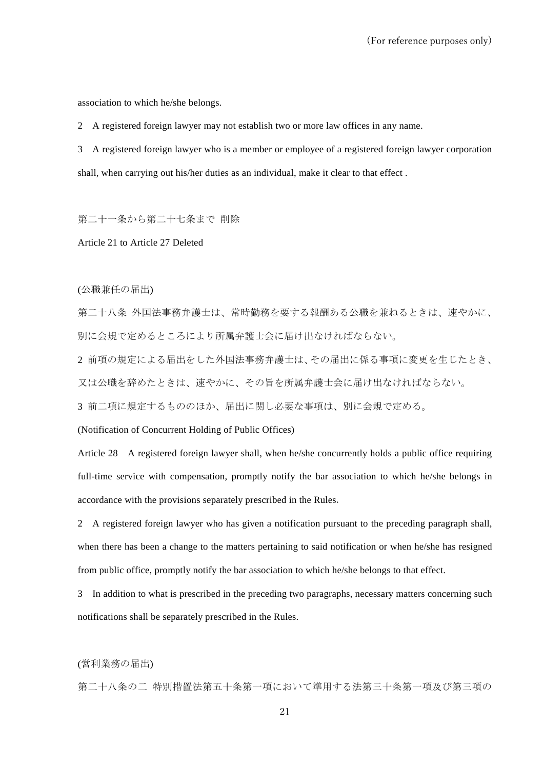association to which he/she belongs.

2 A registered foreign lawyer may not establish two or more law offices in any name.

3 A registered foreign lawyer who is a member or employee of a registered foreign lawyer corporation shall, when carrying out his/her duties as an individual, make it clear to that effect .

第二十一条から第二十七条まで 削除

Article 21 to Article 27 Deleted

(公職兼任の届出)

第二十八条 外国法事務弁護士は、常時勤務を要する報酬ある公職を兼ねるときは、速やかに、 別に会規で定めるところにより所属弁護士会に届け出なければならない。

2 前項の規定による届出をした外国法事務弁護士は、その届出に係る事項に変更を生じたとき、 又は公職を辞めたときは、速やかに、その旨を所属弁護士会に届け出なければならない。

3 前二項に規定するもののほか、届出に関し必要な事項は、別に会規で定める。

(Notification of Concurrent Holding of Public Offices)

Article 28 A registered foreign lawyer shall, when he/she concurrently holds a public office requiring full-time service with compensation, promptly notify the bar association to which he/she belongs in accordance with the provisions separately prescribed in the Rules.

2 A registered foreign lawyer who has given a notification pursuant to the preceding paragraph shall, when there has been a change to the matters pertaining to said notification or when he/she has resigned from public office, promptly notify the bar association to which he/she belongs to that effect.

3 In addition to what is prescribed in the preceding two paragraphs, necessary matters concerning such notifications shall be separately prescribed in the Rules.

(営利業務の届出)

第二十八条の二 特別措置法第五十条第一項において準用する法第三十条第一項及び第三項の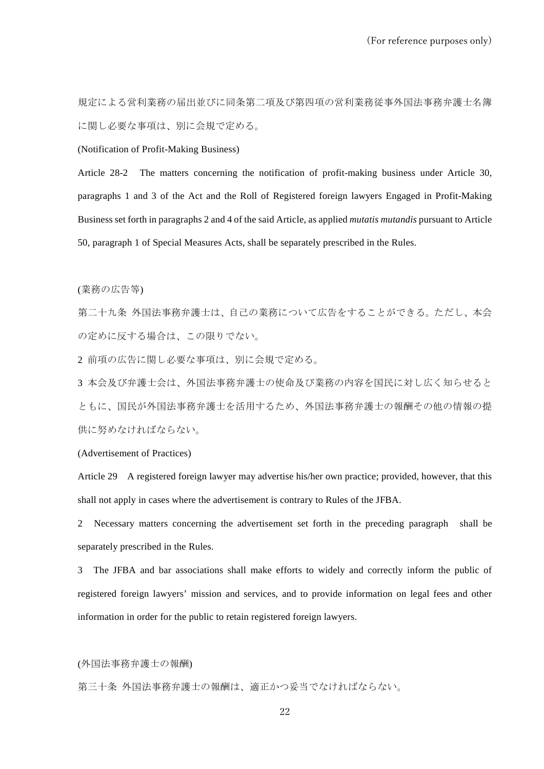規定による営利業務の届出並びに同条第二項及び第四項の営利業務従事外国法事務弁護士名簿 に関し必要な事項は、別に会規で定める。

(Notification of Profit-Making Business)

Article 28-2 The matters concerning the notification of profit-making business under Article 30, paragraphs 1 and 3 of the Act and the Roll of Registered foreign lawyers Engaged in Profit-Making Business set forth in paragraphs 2 and 4 of the said Article, as applied *mutatis mutandis* pursuant to Article 50, paragraph 1 of Special Measures Acts, shall be separately prescribed in the Rules.

(業務の広告等)

第二十九条 外国法事務弁護士は、自己の業務について広告をすることができる。ただし、本会 の定めに反する場合は、この限りでない。

2 前項の広告に関し必要な事項は、別に会規で定める。

3 本会及び弁護士会は、外国法事務弁護士の使命及び業務の内容を国民に対し広く知らせると ともに、国民が外国法事務弁護士を活用するため、外国法事務弁護士の報酬その他の情報の提 供に努めなければならない。

(Advertisement of Practices)

Article 29 A registered foreign lawyer may advertise his/her own practice; provided, however, that this shall not apply in cases where the advertisement is contrary to Rules of the JFBA.

2 Necessary matters concerning the advertisement set forth in the preceding paragraph shall be separately prescribed in the Rules.

3 The JFBA and bar associations shall make efforts to widely and correctly inform the public of registered foreign lawyers' mission and services, and to provide information on legal fees and other information in order for the public to retain registered foreign lawyers.

(外国法事務弁護士の報酬)

第三十条 外国法事務弁護士の報酬は、適正かつ妥当でなければならない。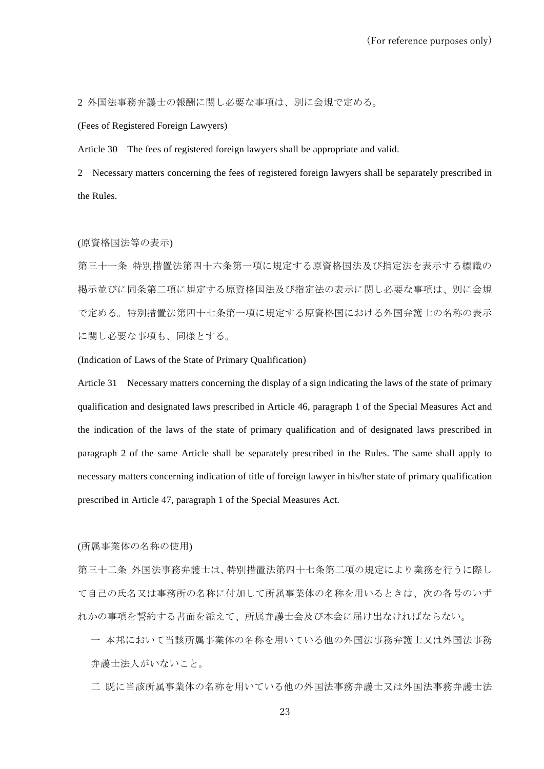2 外国法事務弁護士の報酬に関し必要な事項は、別に会規で定める。

(Fees of Registered Foreign Lawyers)

Article 30 The fees of registered foreign lawyers shall be appropriate and valid.

2 Necessary matters concerning the fees of registered foreign lawyers shall be separately prescribed in the Rules.

#### (原資格国法等の表示)

第三十一条 特別措置法第四十六条第一項に規定する原資格国法及び指定法を表示する標識の 掲示並びに同条第二項に規定する原資格国法及び指定法の表示に関し必要な事項は、別に会規 で定める。特別措置法第四十七条第一項に規定する原資格国における外国弁護士の名称の表示 に関し必要な事項も、同様とする。

(Indication of Laws of the State of Primary Qualification)

Article 31 Necessary matters concerning the display of a sign indicating the laws of the state of primary qualification and designated laws prescribed in Article 46, paragraph 1 of the Special Measures Act and the indication of the laws of the state of primary qualification and of designated laws prescribed in paragraph 2 of the same Article shall be separately prescribed in the Rules. The same shall apply to necessary matters concerning indication of title of foreign lawyer in his/her state of primary qualification prescribed in Article 47, paragraph 1 of the Special Measures Act.

(所属事業体の名称の使用)

第三十二条 外国法事務弁護士は、特別措置法第四十七条第二項の規定により業務を行うに際し て自己の氏名又は事務所の名称に付加して所属事業体の名称を用いるときは、次の各号のいず れかの事項を誓約する書面を添えて、所属弁護士会及び本会に届け出なければならない。

一 本邦において当該所属事業体の名称を用いている他の外国法事務弁護士又は外国法事務 弁護士法人がいないこと。

二 既に当該所属事業体の名称を用いている他の外国法事務弁護士又は外国法事務弁護士法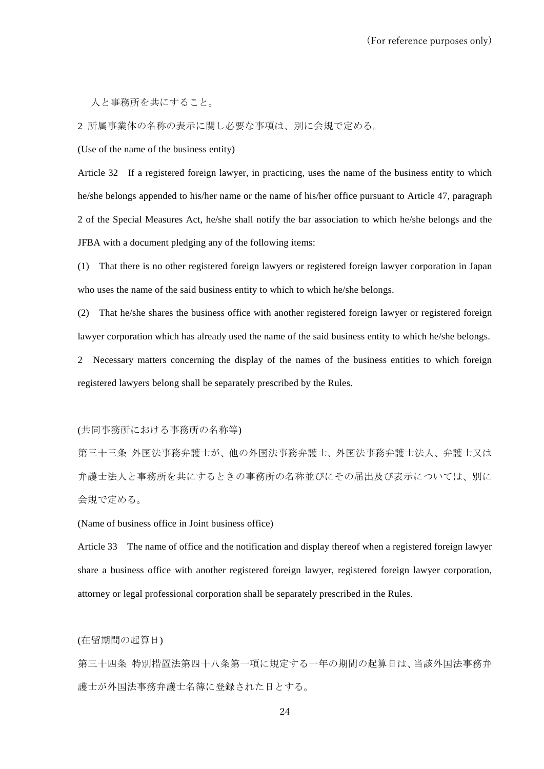人と事務所を共にすること。

2 所属事業体の名称の表示に関し必要な事項は、別に会規で定める。

(Use of the name of the business entity)

Article 32 If a registered foreign lawyer, in practicing, uses the name of the business entity to which he/she belongs appended to his/her name or the name of his/her office pursuant to Article 47, paragraph 2 of the Special Measures Act, he/she shall notify the bar association to which he/she belongs and the JFBA with a document pledging any of the following items:

(1) That there is no other registered foreign lawyers or registered foreign lawyer corporation in Japan who uses the name of the said business entity to which to which he/she belongs.

(2) That he/she shares the business office with another registered foreign lawyer or registered foreign lawyer corporation which has already used the name of the said business entity to which he/she belongs.

2 Necessary matters concerning the display of the names of the business entities to which foreign registered lawyers belong shall be separately prescribed by the Rules.

(共同事務所における事務所の名称等)

第三十三条 外国法事務弁護士が、他の外国法事務弁護士、外国法事務弁護士法人、弁護士又は 弁護士法人と事務所を共にするときの事務所の名称並びにその届出及び表示については、別に 会規で定める。

(Name of business office in Joint business office)

Article 33 The name of office and the notification and display thereof when a registered foreign lawyer share a business office with another registered foreign lawyer, registered foreign lawyer corporation, attorney or legal professional corporation shall be separately prescribed in the Rules.

(在留期間の起算日)

第三十四条 特別措置法第四十八条第一項に規定する一年の期間の起算日は、当該外国法事務弁 護士が外国法事務弁護士名簿に登録された日とする。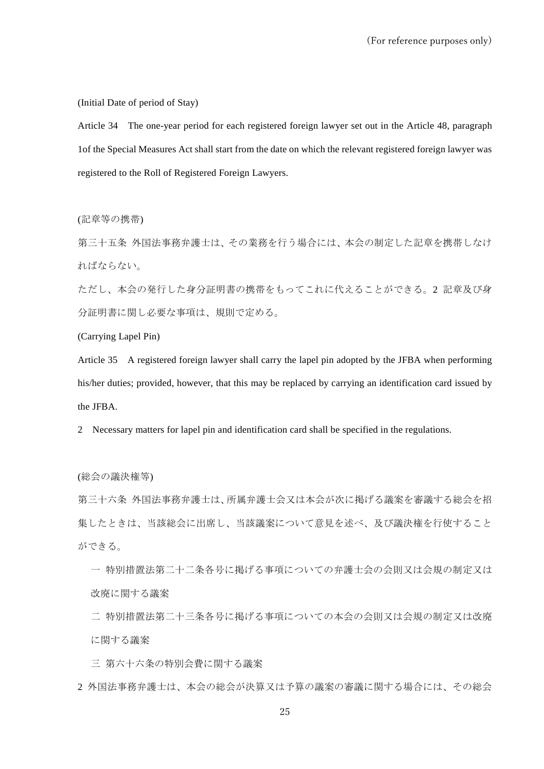(Initial Date of period of Stay)

Article 34 The one-year period for each registered foreign lawyer set out in the Article 48, paragraph 1of the Special Measures Act shall start from the date on which the relevant registered foreign lawyer was registered to the Roll of Registered Foreign Lawyers.

(記章等の携帯)

第三十五条 外国法事務弁護士は、その業務を行う場合には、本会の制定した記章を携帯しなけ ればならない。

ただし、本会の発行した身分証明書の携帯をもってこれに代えることができる。2 記章及び身 分証明書に関し必要な事項は、規則で定める。

(Carrying Lapel Pin)

Article 35 A registered foreign lawyer shall carry the lapel pin adopted by the JFBA when performing his/her duties; provided, however, that this may be replaced by carrying an identification card issued by the JFBA.

2 Necessary matters for lapel pin and identification card shall be specified in the regulations.

(総会の議決権等)

第三十六条 外国法事務弁護士は、所属弁護士会又は本会が次に掲げる議案を審議する総会を招 集したときは、当該総会に出席し、当該議案について意見を述べ、及び議決権を行使すること ができる。

一 特別措置法第二十二条各号に掲げる事項についての弁護士会の会則又は会規の制定又は 改廃に関する議案

二 特別措置法第二十三条各号に掲げる事項についての本会の会則又は会規の制定又は改廃 に関する議案

三 第六十六条の特別会費に関する議案

2 外国法事務弁護士は、本会の総会が決算又は予算の議案の審議に関する場合には、その総会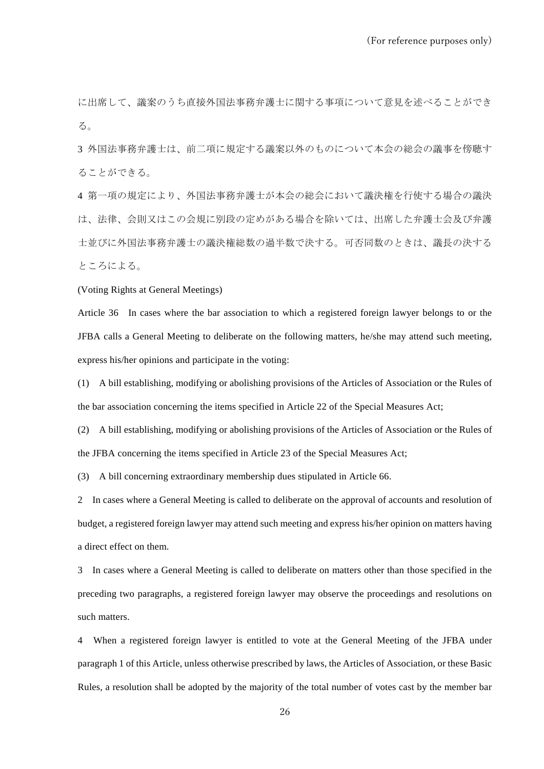に出席して、議案のうち直接外国法事務弁護士に関する事項について意見を述べることができ る。

3 外国法事務弁護士は、前二項に規定する議案以外のものについて本会の総会の議事を傍聴す ることができる。

4 第一項の規定により、外国法事務弁護士が本会の総会において議決権を行使する場合の議決 は、法律、会則又はこの会規に別段の定めがある場合を除いては、出席した弁護士会及び弁護 士並びに外国法事務弁護士の議決権総数の過半数で決する。可否同数のときは、議長の決する ところによる。

(Voting Rights at General Meetings)

Article 36 In cases where the bar association to which a registered foreign lawyer belongs to or the JFBA calls a General Meeting to deliberate on the following matters, he/she may attend such meeting, express his/her opinions and participate in the voting:

(1) A bill establishing, modifying or abolishing provisions of the Articles of Association or the Rules of the bar association concerning the items specified in Article 22 of the Special Measures Act;

(2) A bill establishing, modifying or abolishing provisions of the Articles of Association or the Rules of the JFBA concerning the items specified in Article 23 of the Special Measures Act;

(3) A bill concerning extraordinary membership dues stipulated in Article 66.

2 In cases where a General Meeting is called to deliberate on the approval of accounts and resolution of budget, a registered foreign lawyer may attend such meeting and express his/her opinion on matters having a direct effect on them.

3 In cases where a General Meeting is called to deliberate on matters other than those specified in the preceding two paragraphs, a registered foreign lawyer may observe the proceedings and resolutions on such matters.

4 When a registered foreign lawyer is entitled to vote at the General Meeting of the JFBA under paragraph 1 of this Article, unless otherwise prescribed by laws, the Articles of Association, or these Basic Rules, a resolution shall be adopted by the majority of the total number of votes cast by the member bar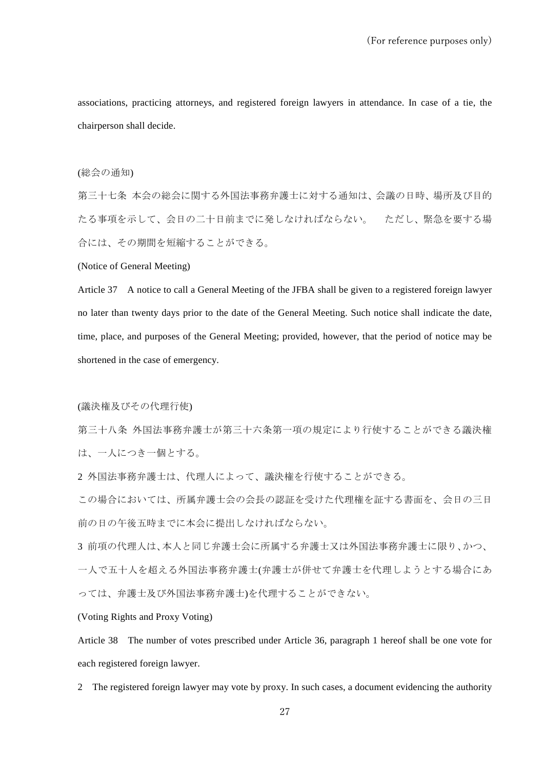associations, practicing attorneys, and registered foreign lawyers in attendance. In case of a tie, the chairperson shall decide.

### (総会の通知)

第三十七条 本会の総会に関する外国法事務弁護士に対する通知は、会議の日時、場所及び目的 たる事項を示して、会日の二十日前までに発しなければならない。 ただし、緊急を要する場 合には、その期間を短縮することができる。

(Notice of General Meeting)

Article 37 A notice to call a General Meeting of the JFBA shall be given to a registered foreign lawyer no later than twenty days prior to the date of the General Meeting. Such notice shall indicate the date, time, place, and purposes of the General Meeting; provided, however, that the period of notice may be shortened in the case of emergency.

(議決権及びその代理行使)

第三十八条 外国法事務弁護士が第三十六条第一項の規定により行使することができる議決権 は、一人につき一個とする。

2 外国法事務弁護士は、代理人によって、議決権を行使することができる。

この場合においては、所属弁護士会の会長の認証を受けた代理権を証する書面を、会日の三日 前の日の午後五時までに本会に提出しなければならない。

3 前項の代理人は、本人と同じ弁護士会に所属する弁護士又は外国法事務弁護士に限り、かつ、 一人で五十人を超える外国法事務弁護士(弁護士が併せて弁護士を代理しようとする場合にあ っては、弁護士及び外国法事務弁護士)を代理することができない。

(Voting Rights and Proxy Voting)

Article 38 The number of votes prescribed under Article 36, paragraph 1 hereof shall be one vote for each registered foreign lawyer.

2 The registered foreign lawyer may vote by proxy. In such cases, a document evidencing the authority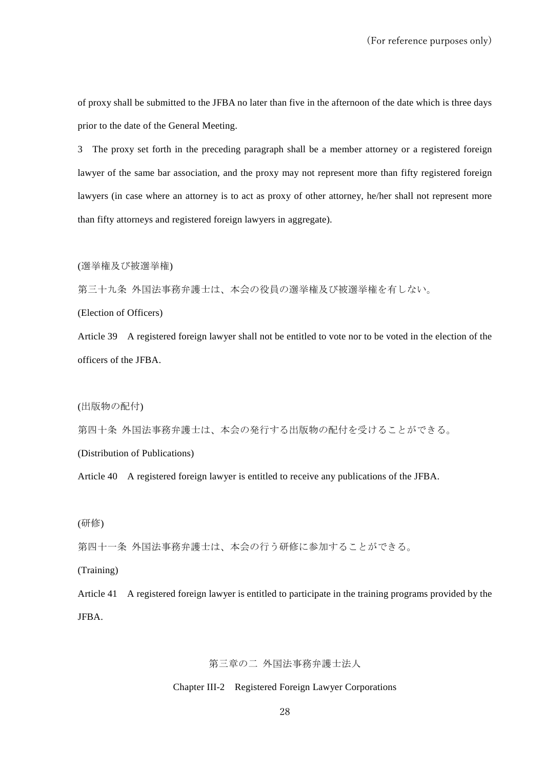of proxy shall be submitted to the JFBA no later than five in the afternoon of the date which is three days prior to the date of the General Meeting.

3 The proxy set forth in the preceding paragraph shall be a member attorney or a registered foreign lawyer of the same bar association, and the proxy may not represent more than fifty registered foreign lawyers (in case where an attorney is to act as proxy of other attorney, he/her shall not represent more than fifty attorneys and registered foreign lawyers in aggregate).

(選挙権及び被選挙権)

第三十九条 外国法事務弁護士は、本会の役員の選挙権及び被選挙権を有しない。

(Election of Officers)

Article 39 A registered foreign lawyer shall not be entitled to vote nor to be voted in the election of the officers of the JFBA.

(出版物の配付)

第四十条 外国法事務弁護士は、本会の発行する出版物の配付を受けることができる。

(Distribution of Publications)

Article 40 A registered foreign lawyer is entitled to receive any publications of the JFBA.

(研修)

第四十一条 外国法事務弁護士は、本会の行う研修に参加することができる。

(Training)

Article 41 A registered foreign lawyer is entitled to participate in the training programs provided by the JFBA.

第三章の二 外国法事務弁護士法人

Chapter III-2 Registered Foreign Lawyer Corporations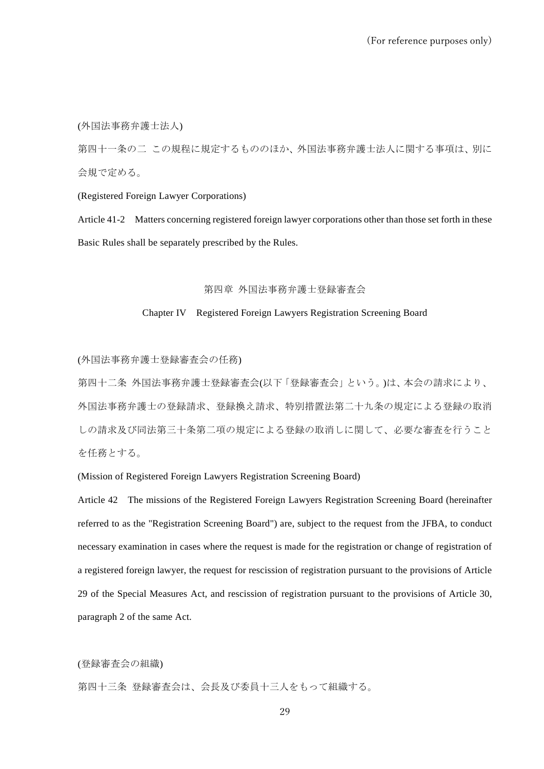(外国法事務弁護士法人)

第四十一条の二 この規程に規定するもののほか、外国法事務弁護士法人に関する事項は、別に 会規で定める。

(Registered Foreign Lawyer Corporations)

Article 41-2 Matters concerning registered foreign lawyer corporations other than those set forth in these Basic Rules shall be separately prescribed by the Rules.

### 第四章 外国法事務弁護士登録審査会

#### Chapter IV Registered Foreign Lawyers Registration Screening Board

(外国法事務弁護士登録審査会の任務)

第四十二条 外国法事務弁護士登録審査会(以下「登録審査会」という。)は、本会の請求により、 外国法事務弁護士の登録請求、登録換え請求、特別措置法第二十九条の規定による登録の取消 しの請求及び同法第三十条第二項の規定による登録の取消しに関して、必要な審査を行うこと を任務とする。

(Mission of Registered Foreign Lawyers Registration Screening Board)

Article 42 The missions of the Registered Foreign Lawyers Registration Screening Board (hereinafter referred to as the "Registration Screening Board") are, subject to the request from the JFBA, to conduct necessary examination in cases where the request is made for the registration or change of registration of a registered foreign lawyer, the request for rescission of registration pursuant to the provisions of Article 29 of the Special Measures Act, and rescission of registration pursuant to the provisions of Article 30, paragraph 2 of the same Act.

(登録審査会の組織)

第四十三条 登録審査会は、会長及び委員十三人をもって組織する。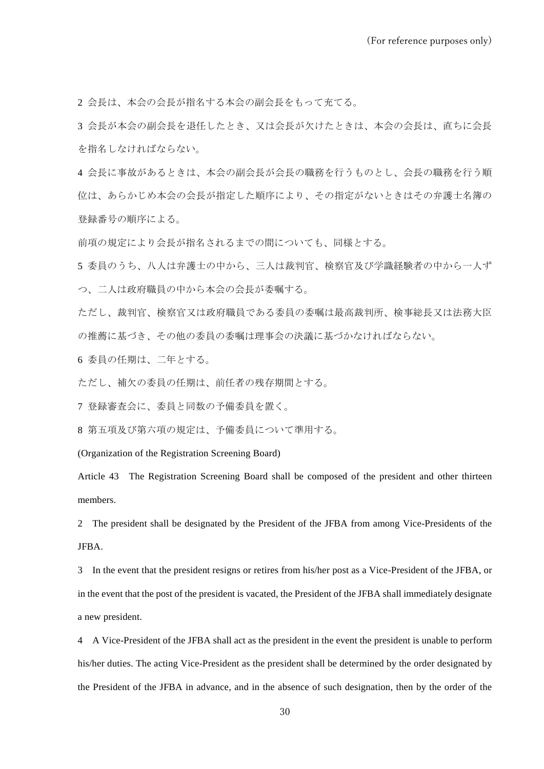2 会長は、本会の会長が指名する本会の副会長をもって充てる。

3 会長が本会の副会長を退任したとき、又は会長が欠けたときは、本会の会長は、直ちに会長 を指名しなければならない。

4 会長に事故があるときは、本会の副会長が会長の職務を行うものとし、会長の職務を行う順 位は、あらかじめ本会の会長が指定した順序により、その指定がないときはその弁護士名簿の 登録番号の順序による。

前項の規定により会長が指名されるまでの間についても、同様とする。

5 委員のうち、八人は弁護士の中から、三人は裁判官、検察官及び学識経験者の中から一人ず つ、二人は政府職員の中から本会の会長が委嘱する。

ただし、裁判官、検察官又は政府職員である委員の委嘱は最高裁判所、検事総長又は法務大臣 の推薦に基づき、その他の委員の委嘱は理事会の決議に基づかなければならない。

6 委員の任期は、二年とする。

ただし、補欠の委員の任期は、前任者の残存期間とする。

7 登録審査会に、委員と同数の予備委員を置く。

8 第五項及び第六項の規定は、予備委員について準用する。

(Organization of the Registration Screening Board)

Article 43 The Registration Screening Board shall be composed of the president and other thirteen members.

2 The president shall be designated by the President of the JFBA from among Vice-Presidents of the JFBA.

3 In the event that the president resigns or retires from his/her post as a Vice-President of the JFBA, or in the event that the post of the president is vacated, the President of the JFBA shall immediately designate a new president.

4 A Vice-President of the JFBA shall act as the president in the event the president is unable to perform his/her duties. The acting Vice-President as the president shall be determined by the order designated by the President of the JFBA in advance, and in the absence of such designation, then by the order of the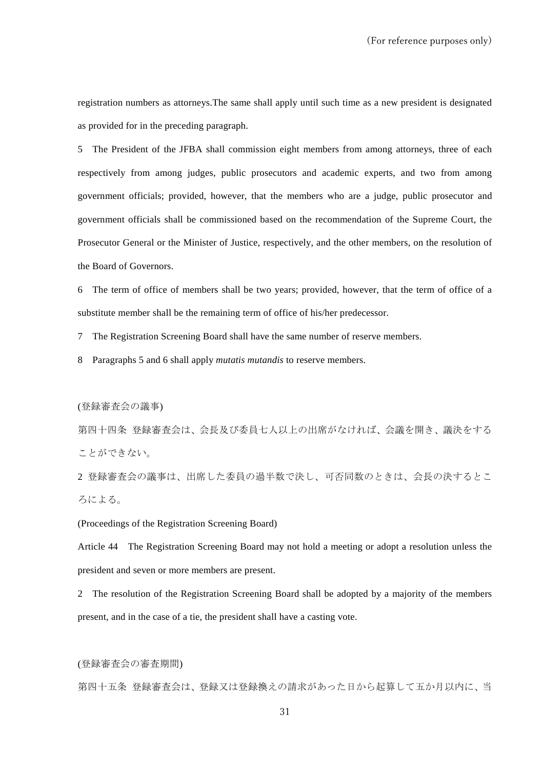registration numbers as attorneys.The same shall apply until such time as a new president is designated as provided for in the preceding paragraph.

5 The President of the JFBA shall commission eight members from among attorneys, three of each respectively from among judges, public prosecutors and academic experts, and two from among government officials; provided, however, that the members who are a judge, public prosecutor and government officials shall be commissioned based on the recommendation of the Supreme Court, the Prosecutor General or the Minister of Justice, respectively, and the other members, on the resolution of the Board of Governors.

6 The term of office of members shall be two years; provided, however, that the term of office of a substitute member shall be the remaining term of office of his/her predecessor.

7 The Registration Screening Board shall have the same number of reserve members.

8 Paragraphs 5 and 6 shall apply *mutatis mutandis* to reserve members.

(登録審査会の議事)

第四十四条 登録審査会は、会長及び委員七人以上の出席がなければ、会議を開き、議決をする ことができない。

2 登録審査会の議事は、出席した委員の過半数で決し、可否同数のときは、会長の決するとこ ろによる。

(Proceedings of the Registration Screening Board)

Article 44 The Registration Screening Board may not hold a meeting or adopt a resolution unless the president and seven or more members are present.

2 The resolution of the Registration Screening Board shall be adopted by a majority of the members present, and in the case of a tie, the president shall have a casting vote.

(登録審査会の審査期間)

第四十五条 登録審査会は、登録又は登録換えの請求があった日から起算して五か月以内に、当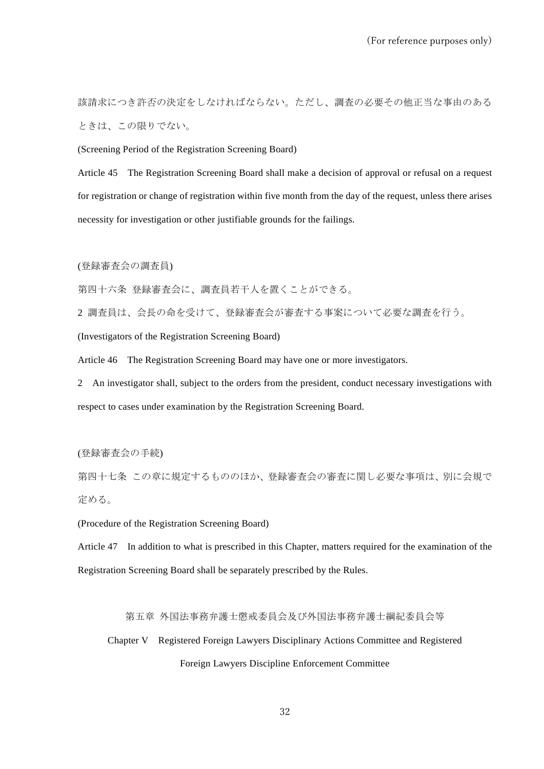該請求につき許否の決定をしなければならない。ただし、調査の必要その他正当な事由のある ときは、この限りでない。

(Screening Period of the Registration Screening Board)

Article 45 The Registration Screening Board shall make a decision of approval or refusal on a request for registration or change of registration within five month from the day of the request, unless there arises necessity for investigation or other justifiable grounds for the failings.

(登録審査会の調査員)

第四十六条 登録審査会に、調査員若干人を置くことができる。

2 調査員は、会長の命を受けて、登録審査会が審査する事案について必要な調査を行う。

(Investigators of the Registration Screening Board)

Article 46 The Registration Screening Board may have one or more investigators.

2 An investigator shall, subject to the orders from the president, conduct necessary investigations with respect to cases under examination by the Registration Screening Board.

(登録審査会の手続)

第四十七条 この章に規定するもののほか、登録審査会の審査に関し必要な事項は、別に会規で 定める。

(Procedure of the Registration Screening Board)

Article 47 In addition to what is prescribed in this Chapter, matters required for the examination of the Registration Screening Board shall be separately prescribed by the Rules.

第五章 外国法事務弁護士懲戒委員会及び外国法事務弁護士綱紀委員会等

Chapter V Registered Foreign Lawyers Disciplinary Actions Committee and Registered Foreign Lawyers Discipline Enforcement Committee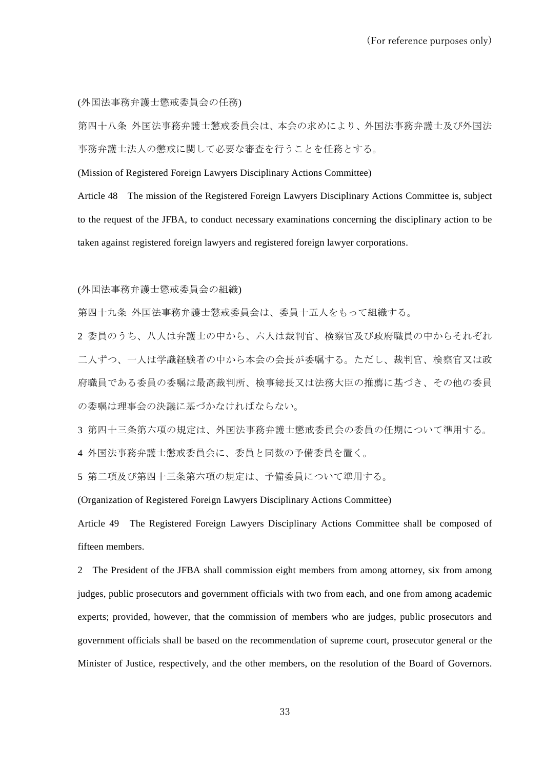(外国法事務弁護士懲戒委員会の任務)

第四十八条 外国法事務弁護士懲戒委員会は、本会の求めにより、外国法事務弁護士及び外国法 事務弁護士法人の懲戒に関して必要な審査を行うことを任務とする。

(Mission of Registered Foreign Lawyers Disciplinary Actions Committee)

Article 48 The mission of the Registered Foreign Lawyers Disciplinary Actions Committee is, subject to the request of the JFBA, to conduct necessary examinations concerning the disciplinary action to be taken against registered foreign lawyers and registered foreign lawyer corporations.

(外国法事務弁護士懲戒委員会の組織)

第四十九条 外国法事務弁護士懲戒委員会は、委員十五人をもって組織する。

2 委員のうち、八人は弁護士の中から、六人は裁判官、検察官及び政府職員の中からそれぞれ 二人ずつ、一人は学識経験者の中から本会の会長が委嘱する。ただし、裁判官、検察官又は政 府職員である委員の委嘱は最高裁判所、検事総長又は法務大臣の推薦に基づき、その他の委員 の委嘱は理事会の決議に基づかなければならない。

3 第四十三条第六項の規定は、外国法事務弁護士懲戒委員会の委員の任期について準用する。

4 外国法事務弁護士懲戒委員会に、委員と同数の予備委員を置く。

5 第二項及び第四十三条第六項の規定は、予備委員について準用する。

(Organization of Registered Foreign Lawyers Disciplinary Actions Committee)

Article 49 The Registered Foreign Lawyers Disciplinary Actions Committee shall be composed of fifteen members.

2 The President of the JFBA shall commission eight members from among attorney, six from among judges, public prosecutors and government officials with two from each, and one from among academic experts; provided, however, that the commission of members who are judges, public prosecutors and government officials shall be based on the recommendation of supreme court, prosecutor general or the Minister of Justice, respectively, and the other members, on the resolution of the Board of Governors.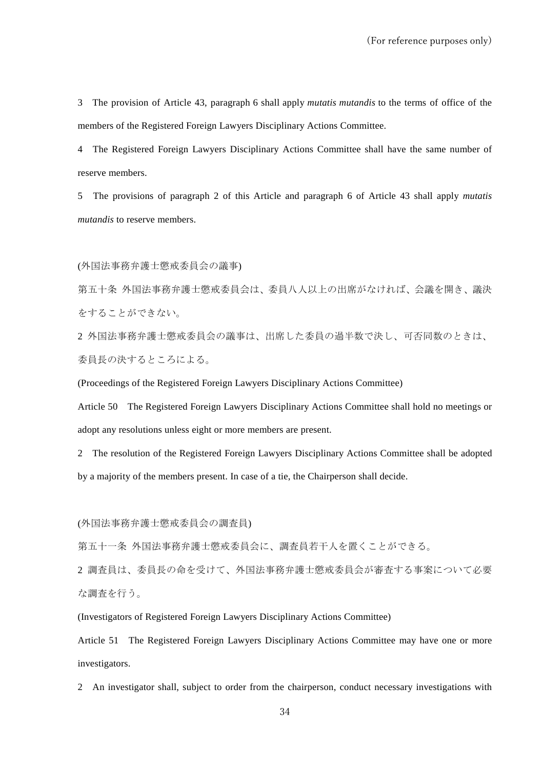3 The provision of Article 43, paragraph 6 shall apply *mutatis mutandis* to the terms of office of the members of the Registered Foreign Lawyers Disciplinary Actions Committee.

4 The Registered Foreign Lawyers Disciplinary Actions Committee shall have the same number of reserve members.

5 The provisions of paragraph 2 of this Article and paragraph 6 of Article 43 shall apply *mutatis mutandis* to reserve members.

(外国法事務弁護士懲戒委員会の議事)

第五十条 外国法事務弁護士懲戒委員会は、委員八人以上の出席がなければ、会議を開き、議決 をすることができない。

2 外国法事務弁護士懲戒委員会の議事は、出席した委員の過半数で決し、可否同数のときは、 委員長の決するところによる。

(Proceedings of the Registered Foreign Lawyers Disciplinary Actions Committee)

Article 50 The Registered Foreign Lawyers Disciplinary Actions Committee shall hold no meetings or adopt any resolutions unless eight or more members are present.

2 The resolution of the Registered Foreign Lawyers Disciplinary Actions Committee shall be adopted by a majority of the members present. In case of a tie, the Chairperson shall decide.

(外国法事務弁護士懲戒委員会の調査員)

第五十一条 外国法事務弁護士懲戒委員会に、調査員若干人を置くことができる。

2 調査員は、委員長の命を受けて、外国法事務弁護士懲戒委員会が審査する事案について必要 な調査を行う。

(Investigators of Registered Foreign Lawyers Disciplinary Actions Committee)

Article 51 The Registered Foreign Lawyers Disciplinary Actions Committee may have one or more investigators.

2 An investigator shall, subject to order from the chairperson, conduct necessary investigations with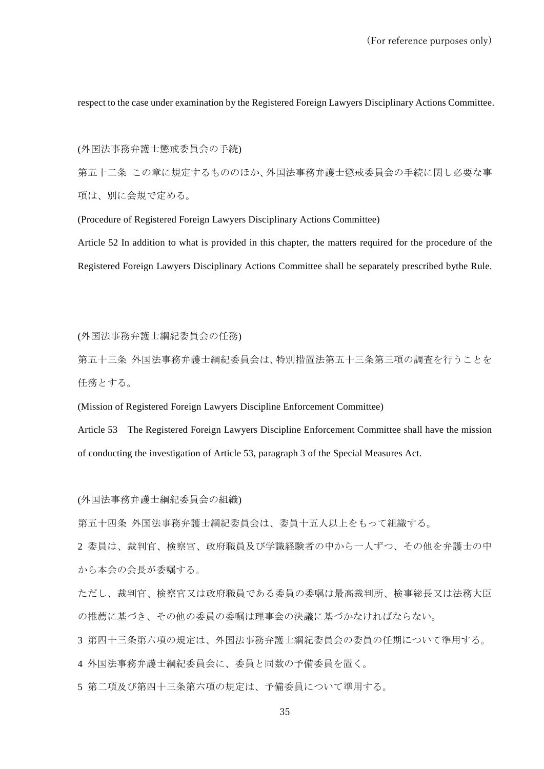respect to the case under examination by the Registered Foreign Lawyers Disciplinary Actions Committee.

(外国法事務弁護士懲戒委員会の手続)

第五十二条 この章に規定するもののほか、外国法事務弁護士懲戒委員会の手続に関し必要な事 項は、別に会規で定める。

(Procedure of Registered Foreign Lawyers Disciplinary Actions Committee)

Article 52 In addition to what is provided in this chapter, the matters required for the procedure of the Registered Foreign Lawyers Disciplinary Actions Committee shall be separately prescribed bythe Rule.

(外国法事務弁護士綱紀委員会の任務)

第五十三条 外国法事務弁護士綱紀委員会は、特別措置法第五十三条第三項の調査を行うことを 任務とする。

(Mission of Registered Foreign Lawyers Discipline Enforcement Committee)

Article 53 The Registered Foreign Lawyers Discipline Enforcement Committee shall have the mission of conducting the investigation of Article 53, paragraph 3 of the Special Measures Act.

(外国法事務弁護士綱紀委員会の組織)

第五十四条 外国法事務弁護士綱紀委員会は、委員十五人以上をもって組織する。

2 委員は、裁判官、検察官、政府職員及び学識経験者の中から一人ずつ、その他を弁護士の中 から本会の会長が委嘱する。

ただし、裁判官、検察官又は政府職員である委員の委嘱は最高裁判所、検事総長又は法務大臣 の推薦に基づき、その他の委員の委嘱は理事会の決議に基づかなければならない。

3 第四十三条第六項の規定は、外国法事務弁護士綱紀委員会の委員の任期について準用する。

4 外国法事務弁護士綱紀委員会に、委員と同数の予備委員を置く。

5 第二項及び第四十三条第六項の規定は、予備委員について準用する。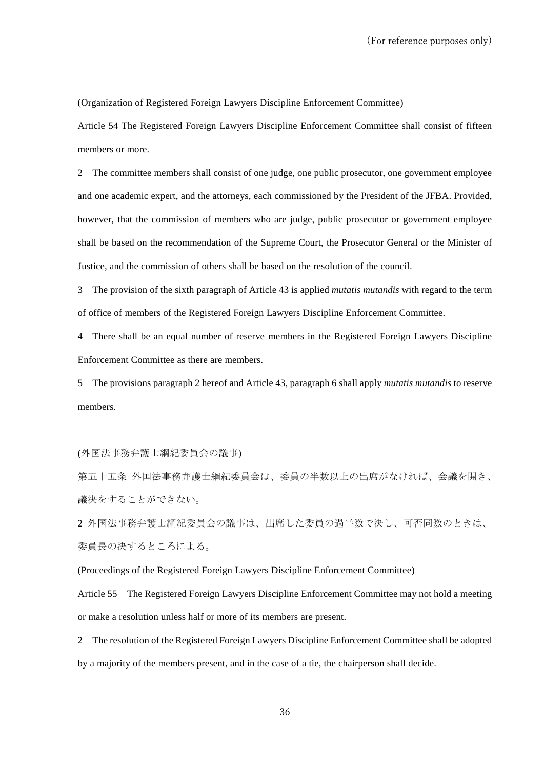(Organization of Registered Foreign Lawyers Discipline Enforcement Committee)

Article 54 The Registered Foreign Lawyers Discipline Enforcement Committee shall consist of fifteen members or more.

2 The committee members shall consist of one judge, one public prosecutor, one government employee and one academic expert, and the attorneys, each commissioned by the President of the JFBA. Provided, however, that the commission of members who are judge, public prosecutor or government employee shall be based on the recommendation of the Supreme Court, the Prosecutor General or the Minister of Justice, and the commission of others shall be based on the resolution of the council.

3 The provision of the sixth paragraph of Article 43 is applied *mutatis mutandis* with regard to the term of office of members of the Registered Foreign Lawyers Discipline Enforcement Committee.

4 There shall be an equal number of reserve members in the Registered Foreign Lawyers Discipline Enforcement Committee as there are members.

5 The provisions paragraph 2 hereof and Article 43, paragraph 6 shall apply *mutatis mutandis* to reserve members.

(外国法事務弁護士綱紀委員会の議事)

第五十五条 外国法事務弁護士綱紀委員会は、委員の半数以上の出席がなければ、会議を開き、 議決をすることができない。

2 外国法事務弁護士綱紀委員会の議事は、出席した委員の過半数で決し、可否同数のときは、 委員長の決するところによる。

(Proceedings of the Registered Foreign Lawyers Discipline Enforcement Committee)

Article 55 The Registered Foreign Lawyers Discipline Enforcement Committee may not hold a meeting or make a resolution unless half or more of its members are present.

2 The resolution of the Registered Foreign Lawyers Discipline Enforcement Committee shall be adopted by a majority of the members present, and in the case of a tie, the chairperson shall decide.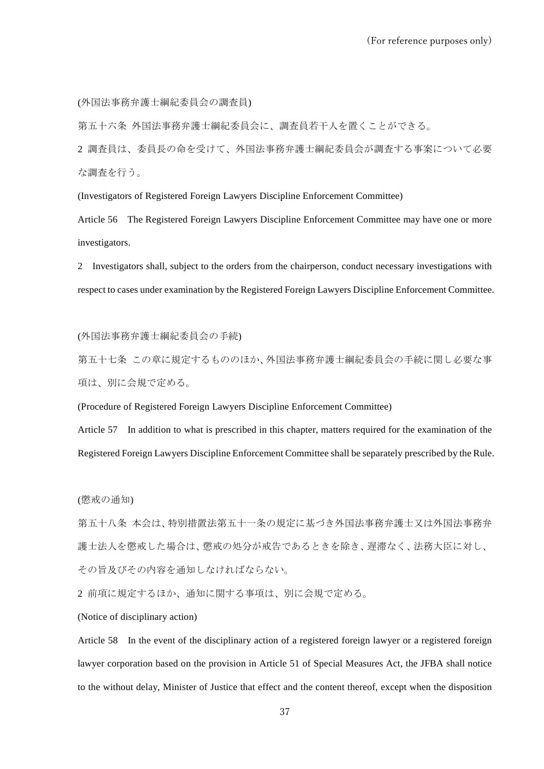(外国法事務弁護士綱紀委員会の調査員)

第五十六条 外国法事務弁護士綱紀委員会に、調査員若干人を置くことができる。

2 調査員は、委員長の命を受けて、外国法事務弁護士綱紀委員会が調査する事案について必要 な調査を行う。

(Investigators of Registered Foreign Lawyers Discipline Enforcement Committee)

Article 56 The Registered Foreign Lawyers Discipline Enforcement Committee may have one or more investigators.

2 Investigators shall, subject to the orders from the chairperson, conduct necessary investigations with respect to cases under examination by the Registered Foreign Lawyers Discipline Enforcement Committee.

(外国法事務弁護士綱紀委員会の手続)

第五十七条 この章に規定するもののほか、外国法事務弁護士綱紀委員会の手続に関し必要な事 項は、別に会規で定める。

(Procedure of Registered Foreign Lawyers Discipline Enforcement Committee)

Article 57 In addition to what is prescribed in this chapter, matters required for the examination of the Registered Foreign Lawyers Discipline Enforcement Committee shall be separately prescribed by the Rule.

(懲戒の通知)

第五十八条 本会は、特別措置法第五十一条の規定に基づき外国法事務弁護士又は外国法事務弁 護士法人を懲戒した場合は、懲戒の処分が戒告であるときを除き、遅滞なく、法務大臣に対し、 その旨及びその内容を通知しなければならない。

2 前項に規定するほか、通知に関する事項は、別に会規で定める。

(Notice of disciplinary action)

Article 58 In the event of the disciplinary action of a registered foreign lawyer or a registered foreign lawyer corporation based on the provision in Article 51 of Special Measures Act, the JFBA shall notice to the without delay, Minister of Justice that effect and the content thereof, except when the disposition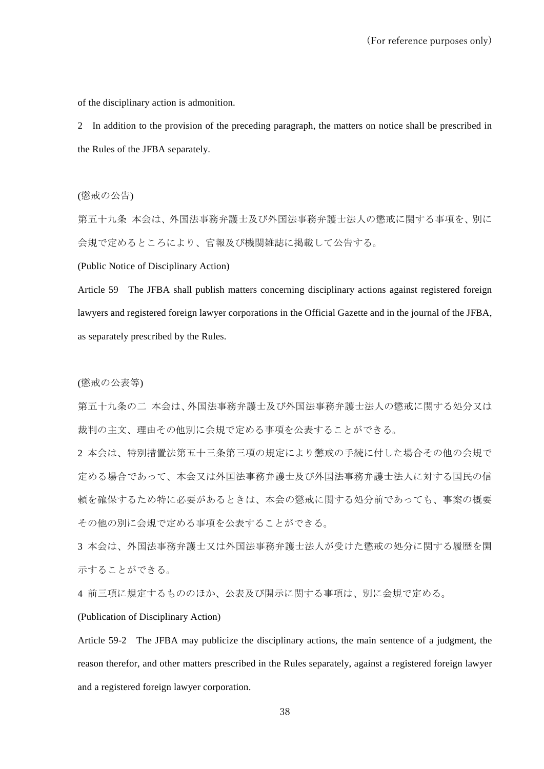of the disciplinary action is admonition.

2 In addition to the provision of the preceding paragraph, the matters on notice shall be prescribed in the Rules of the JFBA separately.

(懲戒の公告)

第五十九条 本会は、外国法事務弁護士及び外国法事務弁護士法人の懲戒に関する事項を、別に 会規で定めるところにより、官報及び機関雑誌に掲載して公告する。

(Public Notice of Disciplinary Action)

Article 59 The JFBA shall publish matters concerning disciplinary actions against registered foreign lawyers and registered foreign lawyer corporations in the Official Gazette and in the journal of the JFBA, as separately prescribed by the Rules.

#### (懲戒の公表等)

第五十九条の二 本会は、外国法事務弁護士及び外国法事務弁護士法人の懲戒に関する処分又は 裁判の主文、理由その他別に会規で定める事項を公表することができる。

2 本会は、特別措置法第五十三条第三項の規定により懲戒の手続に付した場合その他の会規で 定める場合であって、本会又は外国法事務弁護士及び外国法事務弁護士法人に対する国民の信 頼を確保するため特に必要があるときは、本会の懲戒に関する処分前であっても、事案の概要 その他の別に会規で定める事項を公表することができる。

3 本会は、外国法事務弁護士又は外国法事務弁護士法人が受けた懲戒の処分に関する履歴を開 示することができる。

4 前三項に規定するもののほか、公表及び開示に関する事項は、別に会規で定める。

(Publication of Disciplinary Action)

Article 59-2 The JFBA may publicize the disciplinary actions, the main sentence of a judgment, the reason therefor, and other matters prescribed in the Rules separately, against a registered foreign lawyer and a registered foreign lawyer corporation.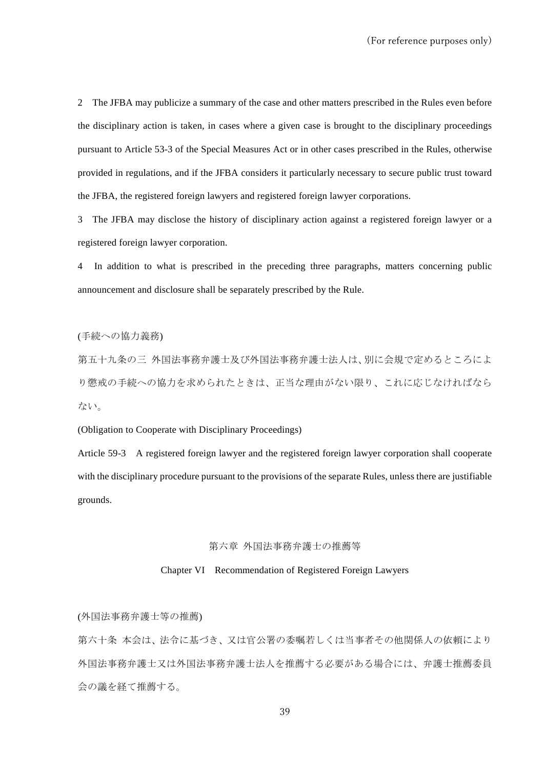2 The JFBA may publicize a summary of the case and other matters prescribed in the Rules even before the disciplinary action is taken, in cases where a given case is brought to the disciplinary proceedings pursuant to Article 53-3 of the Special Measures Act or in other cases prescribed in the Rules, otherwise provided in regulations, and if the JFBA considers it particularly necessary to secure public trust toward the JFBA, the registered foreign lawyers and registered foreign lawyer corporations.

3 The JFBA may disclose the history of disciplinary action against a registered foreign lawyer or a registered foreign lawyer corporation.

4 In addition to what is prescribed in the preceding three paragraphs, matters concerning public announcement and disclosure shall be separately prescribed by the Rule.

(手続への協力義務)

第五十九条の三 外国法事務弁護士及び外国法事務弁護士法人は、別に会規で定めるところによ り懲戒の手続への協力を求められたときは、正当な理由がない限り、これに応じなければなら ない。

(Obligation to Cooperate with Disciplinary Proceedings)

Article 59-3 A registered foreign lawyer and the registered foreign lawyer corporation shall cooperate with the disciplinary procedure pursuant to the provisions of the separate Rules, unless there are justifiable grounds.

#### 第六章 外国法事務弁護士の推薦等

#### Chapter VI Recommendation of Registered Foreign Lawyers

(外国法事務弁護士等の推薦)

第六十条 本会は、法令に基づき、又は官公署の委嘱若しくは当事者その他関係人の依頼により 外国法事務弁護士又は外国法事務弁護士法人を推薦する必要がある場合には、弁護士推薦委員 会の議を経て推薦する。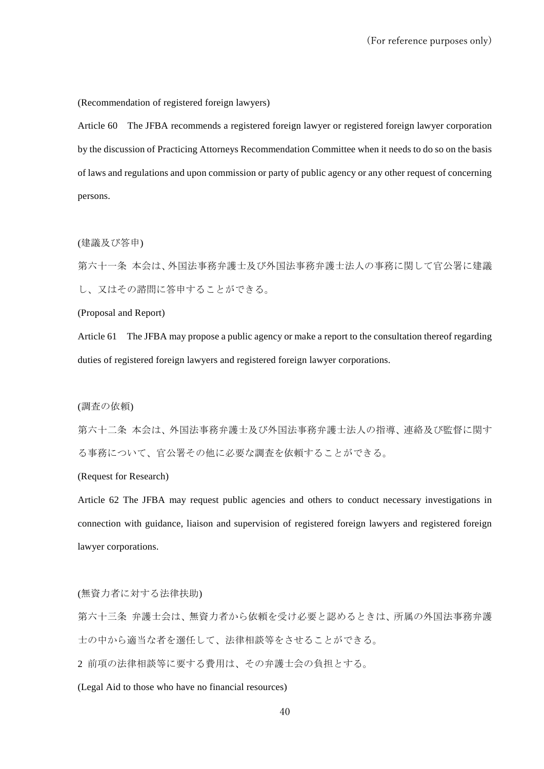(Recommendation of registered foreign lawyers)

Article 60 The JFBA recommends a registered foreign lawyer or registered foreign lawyer corporation by the discussion of Practicing Attorneys Recommendation Committee when it needs to do so on the basis of laws and regulations and upon commission or party of public agency or any other request of concerning persons.

(建議及び答申)

第六十一条 本会は、外国法事務弁護士及び外国法事務弁護士法人の事務に関して官公署に建議 し、又はその諮問に答申することができる。

(Proposal and Report)

Article 61 The JFBA may propose a public agency or make a report to the consultation thereof regarding duties of registered foreign lawyers and registered foreign lawyer corporations.

(調査の依頼)

第六十二条 本会は、外国法事務弁護士及び外国法事務弁護士法人の指導、連絡及び監督に関す る事務について、官公署その他に必要な調査を依頼することができる。

(Request for Research)

Article 62 The JFBA may request public agencies and others to conduct necessary investigations in connection with guidance, liaison and supervision of registered foreign lawyers and registered foreign lawyer corporations.

(無資力者に対する法律扶助)

第六十三条 弁護士会は、無資力者から依頼を受け必要と認めるときは、所属の外国法事務弁護 士の中から適当な者を選任して、法律相談等をさせることができる。

2 前項の法律相談等に要する費用は、その弁護士会の負担とする。

(Legal Aid to those who have no financial resources)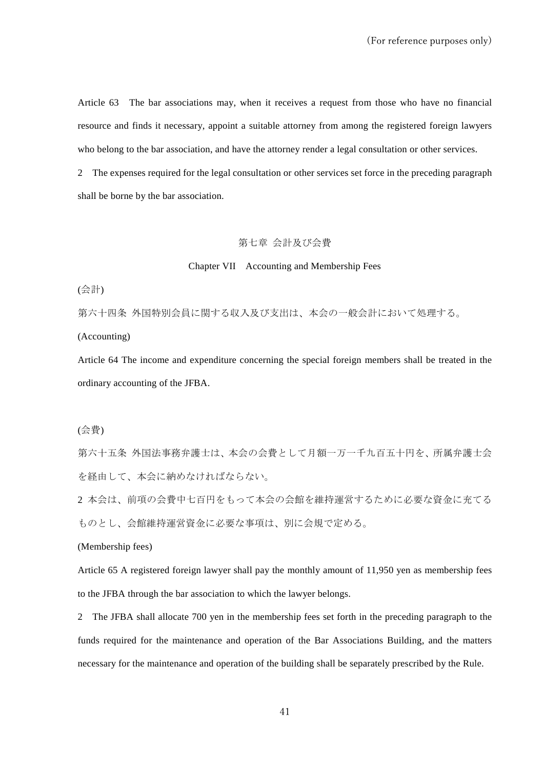Article 63 The bar associations may, when it receives a request from those who have no financial resource and finds it necessary, appoint a suitable attorney from among the registered foreign lawyers who belong to the bar association, and have the attorney render a legal consultation or other services.

2 The expenses required for the legal consultation or other services set force in the preceding paragraph shall be borne by the bar association.

### 第七章 会計及び会費

### Chapter VII Accounting and Membership Fees

(会計)

第六十四条 外国特別会員に関する収入及び支出は、本会の一般会計において処理する。

(Accounting)

Article 64 The income and expenditure concerning the special foreign members shall be treated in the ordinary accounting of the JFBA.

(会費)

第六十五条 外国法事務弁護士は、本会の会費として月額一万一千九百五十円を、所属弁護士会 を経由して、本会に納めなければならない。

2 本会は、前項の会費中七百円をもって本会の会館を維持運営するために必要な資金に充てる ものとし、会館維持運営資金に必要な事項は、別に会規で定める。

(Membership fees)

Article 65 A registered foreign lawyer shall pay the monthly amount of 11,950 yen as membership fees to the JFBA through the bar association to which the lawyer belongs.

2 The JFBA shall allocate 700 yen in the membership fees set forth in the preceding paragraph to the funds required for the maintenance and operation of the Bar Associations Building, and the matters necessary for the maintenance and operation of the building shall be separately prescribed by the Rule.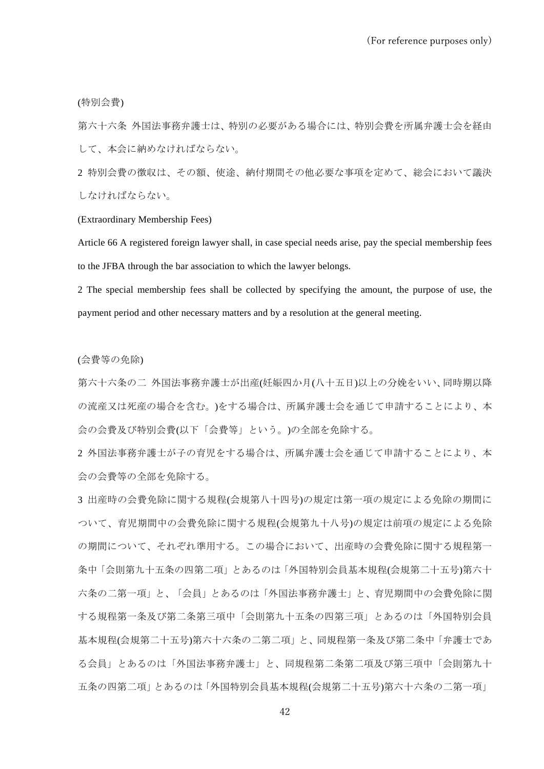(特別会費)

第六十六条 外国法事務弁護士は、特別の必要がある場合には、特別会費を所属弁護士会を経由 して、本会に納めなければならない。

2 特別会費の徴収は、その額、使途、納付期間その他必要な事項を定めて、総会において議決 しなければならない。

#### (Extraordinary Membership Fees)

Article 66 A registered foreign lawyer shall, in case special needs arise, pay the special membership fees to the JFBA through the bar association to which the lawyer belongs.

2 The special membership fees shall be collected by specifying the amount, the purpose of use, the payment period and other necessary matters and by a resolution at the general meeting.

#### (会費等の免除)

第六十六条の二 外国法事務弁護士が出産(妊娠四か月(八十五日)以上の分娩をいい、同時期以降 の流産又は死産の場合を含む。)をする場合は、所属弁護士会を通じて申請することにより、本 会の会費及び特別会費(以下「会費等」という。)の全部を免除する。

2 外国法事務弁護士が子の育児をする場合は、所属弁護士会を通じて申請することにより、本 会の会費等の全部を免除する。

3 出産時の会費免除に関する規程(会規第八十四号)の規定は第一項の規定による免除の期間に ついて、育児期間中の会費免除に関する規程(会規第九十八号)の規定は前項の規定による免除 の期間について、それぞれ準用する。この場合において、出産時の会費免除に関する規程第一 条中「会則第九十五条の四第二項」とあるのは「外国特別会員基本規程(会規第二十五号)第六十 六条の二第一項」と、「会員」とあるのは「外国法事務弁護士」と、育児期間中の会費免除に関 する規程第一条及び第二条第三項中「会則第九十五条の四第三項」とあるのは「外国特別会員 基本規程(会規第二十五号)第六十六条の二第二項」と、同規程第一条及び第二条中「弁護士であ る会員」とあるのは「外国法事務弁護士」と、同規程第二条第二項及び第三項中「会則第九十 五条の四第二項」とあるのは「外国特別会員基本規程(会規第二十五号)第六十六条の二第一項」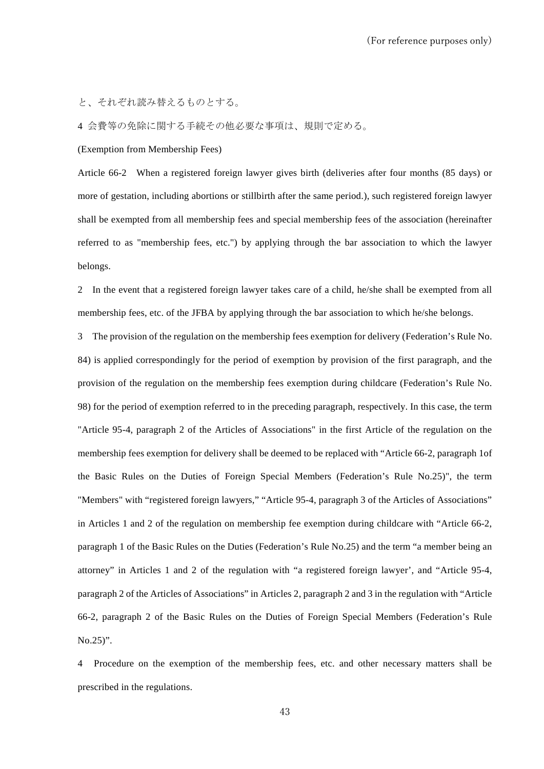と、それぞれ読み替えるものとする。

4 会費等の免除に関する手続その他必要な事項は、規則で定める。

(Exemption from Membership Fees)

Article 66-2 When a registered foreign lawyer gives birth (deliveries after four months (85 days) or more of gestation, including abortions or stillbirth after the same period.), such registered foreign lawyer shall be exempted from all membership fees and special membership fees of the association (hereinafter referred to as "membership fees, etc.") by applying through the bar association to which the lawyer belongs.

2 In the event that a registered foreign lawyer takes care of a child, he/she shall be exempted from all membership fees, etc. of the JFBA by applying through the bar association to which he/she belongs.

3 The provision of the regulation on the membership fees exemption for delivery (Federation's Rule No. 84) is applied correspondingly for the period of exemption by provision of the first paragraph, and the provision of the regulation on the membership fees exemption during childcare (Federation's Rule No. 98) for the period of exemption referred to in the preceding paragraph, respectively. In this case, the term "Article 95-4, paragraph 2 of the Articles of Associations" in the first Article of the regulation on the membership fees exemption for delivery shall be deemed to be replaced with "Article 66-2, paragraph 1of the Basic Rules on the Duties of Foreign Special Members (Federation's Rule No.25)", the term "Members" with "registered foreign lawyers," "Article 95-4, paragraph 3 of the Articles of Associations" in Articles 1 and 2 of the regulation on membership fee exemption during childcare with "Article 66-2, paragraph 1 of the Basic Rules on the Duties (Federation's Rule No.25) and the term "a member being an attorney" in Articles 1 and 2 of the regulation with "a registered foreign lawyer', and "Article 95-4, paragraph 2 of the Articles of Associations" in Articles 2, paragraph 2 and 3 in the regulation with "Article 66-2, paragraph 2 of the Basic Rules on the Duties of Foreign Special Members (Federation's Rule No.25)".

4 Procedure on the exemption of the membership fees, etc. and other necessary matters shall be prescribed in the regulations.